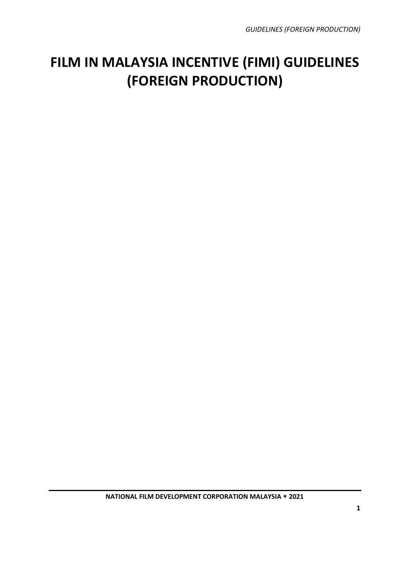### **FILM IN MALAYSIA INCENTIVE (FIMI) GUIDELINES (FOREIGN PRODUCTION)**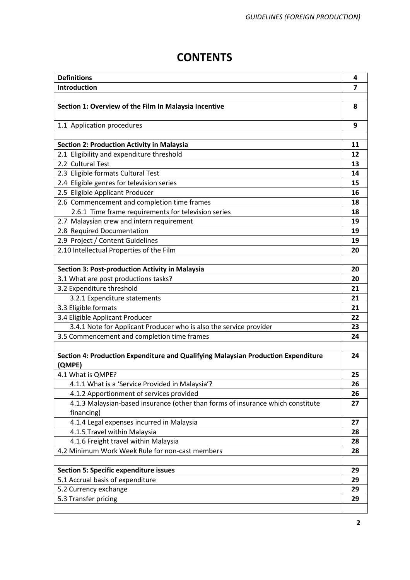### **CONTENTS**

| <b>Definitions</b>                                                                          | 4  |  |  |  |  |  |  |
|---------------------------------------------------------------------------------------------|----|--|--|--|--|--|--|
| Introduction                                                                                | 7  |  |  |  |  |  |  |
|                                                                                             |    |  |  |  |  |  |  |
| Section 1: Overview of the Film In Malaysia Incentive                                       | 8  |  |  |  |  |  |  |
| 1.1 Application procedures                                                                  | 9  |  |  |  |  |  |  |
|                                                                                             |    |  |  |  |  |  |  |
| <b>Section 2: Production Activity in Malaysia</b>                                           | 11 |  |  |  |  |  |  |
| 2.1 Eligibility and expenditure threshold                                                   | 12 |  |  |  |  |  |  |
| 2.2 Cultural Test                                                                           | 13 |  |  |  |  |  |  |
| 2.3 Eligible formats Cultural Test                                                          | 14 |  |  |  |  |  |  |
| 2.4 Eligible genres for television series                                                   | 15 |  |  |  |  |  |  |
| 2.5 Eligible Applicant Producer                                                             | 16 |  |  |  |  |  |  |
| 2.6 Commencement and completion time frames                                                 | 18 |  |  |  |  |  |  |
| 2.6.1 Time frame requirements for television series                                         | 18 |  |  |  |  |  |  |
| 2.7 Malaysian crew and intern requirement                                                   | 19 |  |  |  |  |  |  |
| 2.8 Required Documentation                                                                  | 19 |  |  |  |  |  |  |
| 2.9 Project / Content Guidelines                                                            | 19 |  |  |  |  |  |  |
| 2.10 Intellectual Properties of the Film                                                    |    |  |  |  |  |  |  |
|                                                                                             |    |  |  |  |  |  |  |
| Section 3: Post-production Activity in Malaysia                                             | 20 |  |  |  |  |  |  |
| 3.1 What are post productions tasks?                                                        | 20 |  |  |  |  |  |  |
| 3.2 Expenditure threshold                                                                   | 21 |  |  |  |  |  |  |
| 3.2.1 Expenditure statements                                                                | 21 |  |  |  |  |  |  |
| 3.3 Eligible formats                                                                        | 21 |  |  |  |  |  |  |
| 3.4 Eligible Applicant Producer                                                             | 22 |  |  |  |  |  |  |
| 3.4.1 Note for Applicant Producer who is also the service provider                          | 23 |  |  |  |  |  |  |
| 3.5 Commencement and completion time frames                                                 | 24 |  |  |  |  |  |  |
|                                                                                             |    |  |  |  |  |  |  |
| Section 4: Production Expenditure and Qualifying Malaysian Production Expenditure<br>(QMPE) | 24 |  |  |  |  |  |  |
| 4.1 What is QMPE?                                                                           | 25 |  |  |  |  |  |  |
| 4.1.1 What is a 'Service Provided in Malaysia'?                                             | 26 |  |  |  |  |  |  |
| 4.1.2 Apportionment of services provided                                                    | 26 |  |  |  |  |  |  |
| 4.1.3 Malaysian-based insurance (other than forms of insurance which constitute             | 27 |  |  |  |  |  |  |
| financing)                                                                                  |    |  |  |  |  |  |  |
| 4.1.4 Legal expenses incurred in Malaysia                                                   | 27 |  |  |  |  |  |  |
| 4.1.5 Travel within Malaysia                                                                | 28 |  |  |  |  |  |  |
| 4.1.6 Freight travel within Malaysia                                                        | 28 |  |  |  |  |  |  |
| 4.2 Minimum Work Week Rule for non-cast members                                             | 28 |  |  |  |  |  |  |
|                                                                                             |    |  |  |  |  |  |  |
| <b>Section 5: Specific expenditure issues</b>                                               | 29 |  |  |  |  |  |  |
| 5.1 Accrual basis of expenditure                                                            | 29 |  |  |  |  |  |  |
| 5.2 Currency exchange                                                                       | 29 |  |  |  |  |  |  |
| 5.3 Transfer pricing                                                                        | 29 |  |  |  |  |  |  |
|                                                                                             |    |  |  |  |  |  |  |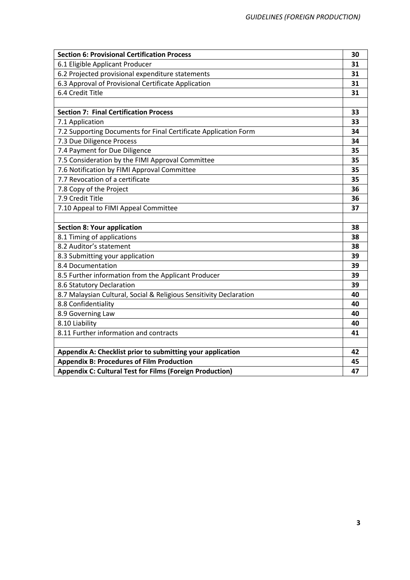| <b>Section 6: Provisional Certification Process</b>                | 30 |  |  |  |  |
|--------------------------------------------------------------------|----|--|--|--|--|
| 6.1 Eligible Applicant Producer                                    | 31 |  |  |  |  |
| 6.2 Projected provisional expenditure statements                   | 31 |  |  |  |  |
| 6.3 Approval of Provisional Certificate Application                | 31 |  |  |  |  |
| 6.4 Credit Title                                                   | 31 |  |  |  |  |
|                                                                    |    |  |  |  |  |
| <b>Section 7: Final Certification Process</b>                      | 33 |  |  |  |  |
| 7.1 Application                                                    | 33 |  |  |  |  |
| 7.2 Supporting Documents for Final Certificate Application Form    | 34 |  |  |  |  |
| 7.3 Due Diligence Process                                          | 34 |  |  |  |  |
| 7.4 Payment for Due Diligence                                      | 35 |  |  |  |  |
| 7.5 Consideration by the FIMI Approval Committee                   | 35 |  |  |  |  |
| 7.6 Notification by FIMI Approval Committee                        | 35 |  |  |  |  |
| 7.7 Revocation of a certificate                                    | 35 |  |  |  |  |
| 7.8 Copy of the Project                                            | 36 |  |  |  |  |
| 7.9 Credit Title                                                   | 36 |  |  |  |  |
| 7.10 Appeal to FIMI Appeal Committee                               | 37 |  |  |  |  |
|                                                                    |    |  |  |  |  |
| <b>Section 8: Your application</b>                                 | 38 |  |  |  |  |
| 8.1 Timing of applications                                         | 38 |  |  |  |  |
| 8.2 Auditor's statement                                            | 38 |  |  |  |  |
| 8.3 Submitting your application                                    | 39 |  |  |  |  |
| 8.4 Documentation                                                  | 39 |  |  |  |  |
| 8.5 Further information from the Applicant Producer                | 39 |  |  |  |  |
| 8.6 Statutory Declaration                                          | 39 |  |  |  |  |
| 8.7 Malaysian Cultural, Social & Religious Sensitivity Declaration | 40 |  |  |  |  |
| 8.8 Confidentiality                                                | 40 |  |  |  |  |
| 8.9 Governing Law                                                  | 40 |  |  |  |  |
| 8.10 Liability                                                     | 40 |  |  |  |  |
| 8.11 Further information and contracts                             | 41 |  |  |  |  |
|                                                                    |    |  |  |  |  |
| Appendix A: Checklist prior to submitting your application         |    |  |  |  |  |
| <b>Appendix B: Procedures of Film Production</b>                   | 45 |  |  |  |  |
| <b>Appendix C: Cultural Test for Films (Foreign Production)</b>    | 47 |  |  |  |  |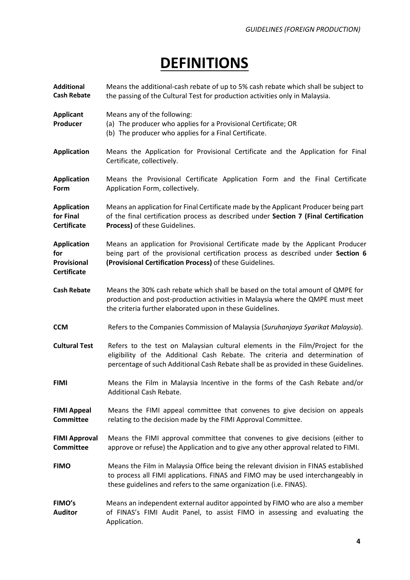### **DEFINITIONS**

| <b>Additional</b><br><b>Cash Rebate</b>                        | Means the additional-cash rebate of up to 5% cash rebate which shall be subject to<br>the passing of the Cultural Test for production activities only in Malaysia.                                                                                   |
|----------------------------------------------------------------|------------------------------------------------------------------------------------------------------------------------------------------------------------------------------------------------------------------------------------------------------|
| <b>Applicant</b><br>Producer                                   | Means any of the following:<br>(a) The producer who applies for a Provisional Certificate; OR<br>(b) The producer who applies for a Final Certificate.                                                                                               |
| <b>Application</b>                                             | Means the Application for Provisional Certificate and the Application for Final<br>Certificate, collectively.                                                                                                                                        |
| <b>Application</b><br>Form                                     | Means the Provisional Certificate Application Form and the Final Certificate<br>Application Form, collectively.                                                                                                                                      |
| <b>Application</b><br>for Final<br><b>Certificate</b>          | Means an application for Final Certificate made by the Applicant Producer being part<br>of the final certification process as described under Section 7 (Final Certification<br>Process) of these Guidelines.                                        |
| <b>Application</b><br>for<br>Provisional<br><b>Certificate</b> | Means an application for Provisional Certificate made by the Applicant Producer<br>being part of the provisional certification process as described under Section 6<br>(Provisional Certification Process) of these Guidelines.                      |
| <b>Cash Rebate</b>                                             | Means the 30% cash rebate which shall be based on the total amount of QMPE for<br>production and post-production activities in Malaysia where the QMPE must meet<br>the criteria further elaborated upon in these Guidelines.                        |
| <b>CCM</b>                                                     | Refers to the Companies Commission of Malaysia (Suruhanjaya Syarikat Malaysia).                                                                                                                                                                      |
| <b>Cultural Test</b>                                           | Refers to the test on Malaysian cultural elements in the Film/Project for the<br>eligibility of the Additional Cash Rebate. The criteria and determination of<br>percentage of such Additional Cash Rebate shall be as provided in these Guidelines. |
| <b>FIMI</b>                                                    | Means the Film in Malaysia Incentive in the forms of the Cash Rebate and/or<br>Additional Cash Rebate.                                                                                                                                               |
| <b>FIMI Appeal</b><br><b>Committee</b>                         | Means the FIMI appeal committee that convenes to give decision on appeals<br>relating to the decision made by the FIMI Approval Committee.                                                                                                           |
| <b>FIMI Approval</b><br><b>Committee</b>                       | Means the FIMI approval committee that convenes to give decisions (either to<br>approve or refuse) the Application and to give any other approval related to FIMI.                                                                                   |
| <b>FIMO</b>                                                    | Means the Film in Malaysia Office being the relevant division in FINAS established<br>to process all FIMI applications. FINAS and FIMO may be used interchangeably in<br>these guidelines and refers to the same organization (i.e. FINAS).          |
| FIMO's<br><b>Auditor</b>                                       | Means an independent external auditor appointed by FIMO who are also a member<br>of FINAS's FIMI Audit Panel, to assist FIMO in assessing and evaluating the<br>Application.                                                                         |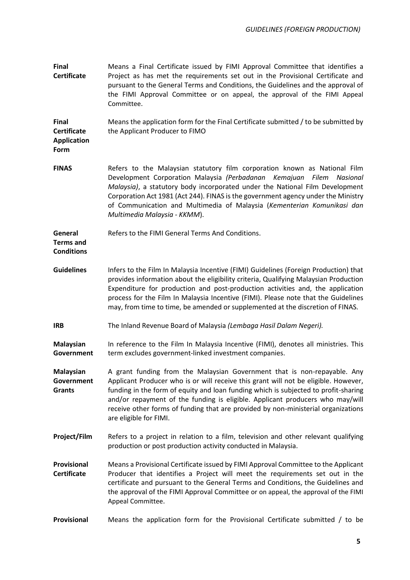| <b>Final</b><br><b>Certificate</b>                               | Means a Final Certificate issued by FIMI Approval Committee that identifies a<br>Project as has met the requirements set out in the Provisional Certificate and<br>pursuant to the General Terms and Conditions, the Guidelines and the approval of<br>the FIMI Approval Committee or on appeal, the approval of the FIMI Appeal<br>Committee.                                                                                                         |
|------------------------------------------------------------------|--------------------------------------------------------------------------------------------------------------------------------------------------------------------------------------------------------------------------------------------------------------------------------------------------------------------------------------------------------------------------------------------------------------------------------------------------------|
| <b>Final</b><br><b>Certificate</b><br><b>Application</b><br>Form | Means the application form for the Final Certificate submitted / to be submitted by<br>the Applicant Producer to FIMO                                                                                                                                                                                                                                                                                                                                  |
| <b>FINAS</b>                                                     | Refers to the Malaysian statutory film corporation known as National Film<br>Development Corporation Malaysia (Perbadanan Kemajuan<br>Filem<br>Nasional<br>Malaysia), a statutory body incorporated under the National Film Development<br>Corporation Act 1981 (Act 244). FINAS is the government agency under the Ministry<br>of Communication and Multimedia of Malaysia (Kementerian Komunikasi dan<br>Multimedia Malaysia - KKMM).                |
| General<br><b>Terms and</b><br><b>Conditions</b>                 | Refers to the FIMI General Terms And Conditions.                                                                                                                                                                                                                                                                                                                                                                                                       |
| <b>Guidelines</b>                                                | Infers to the Film In Malaysia Incentive (FIMI) Guidelines (Foreign Production) that<br>provides information about the eligibility criteria, Qualifying Malaysian Production<br>Expenditure for production and post-production activities and, the application<br>process for the Film In Malaysia Incentive (FIMI). Please note that the Guidelines<br>may, from time to time, be amended or supplemented at the discretion of FINAS.                 |
| <b>IRB</b>                                                       | The Inland Revenue Board of Malaysia (Lembaga Hasil Dalam Negeri).                                                                                                                                                                                                                                                                                                                                                                                     |
| <b>Malaysian</b><br>Government                                   | In reference to the Film In Malaysia Incentive (FIMI), denotes all ministries. This<br>term excludes government-linked investment companies.                                                                                                                                                                                                                                                                                                           |
| Malaysian<br>Government<br><b>Grants</b>                         | A grant funding from the Malaysian Government that is non-repayable. Any<br>Applicant Producer who is or will receive this grant will not be eligible. However,<br>funding in the form of equity and loan funding which is subjected to profit-sharing<br>and/or repayment of the funding is eligible. Applicant producers who may/will<br>receive other forms of funding that are provided by non-ministerial organizations<br>are eligible for FIMI. |
| Project/Film                                                     | Refers to a project in relation to a film, television and other relevant qualifying<br>production or post production activity conducted in Malaysia.                                                                                                                                                                                                                                                                                                   |
| Provisional<br><b>Certificate</b>                                | Means a Provisional Certificate issued by FIMI Approval Committee to the Applicant<br>Producer that identifies a Project will meet the requirements set out in the<br>certificate and pursuant to the General Terms and Conditions, the Guidelines and<br>the approval of the FIMI Approval Committee or on appeal, the approval of the FIMI<br>Appeal Committee.                                                                                      |
| Provisional                                                      | Means the application form for the Provisional Certificate submitted / to be                                                                                                                                                                                                                                                                                                                                                                           |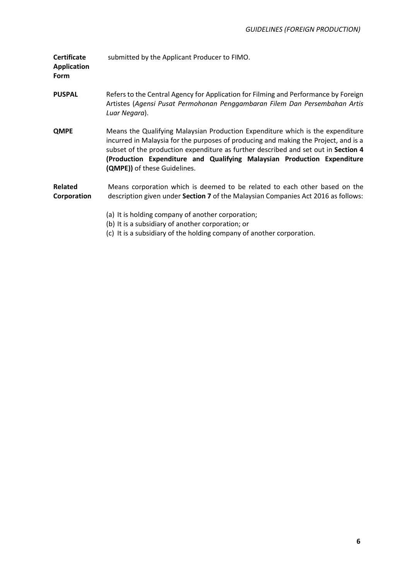| <b>Certificate</b><br><b>Application</b><br><b>Form</b> | submitted by the Applicant Producer to FIMO.                                                                                                                                                                                                                                                                                                                           |
|---------------------------------------------------------|------------------------------------------------------------------------------------------------------------------------------------------------------------------------------------------------------------------------------------------------------------------------------------------------------------------------------------------------------------------------|
| <b>PUSPAL</b>                                           | Refers to the Central Agency for Application for Filming and Performance by Foreign<br>Artistes (Agensi Pusat Permohonan Penggambaran Filem Dan Persembahan Artis<br>Luar Negara).                                                                                                                                                                                     |
| <b>QMPE</b>                                             | Means the Qualifying Malaysian Production Expenditure which is the expenditure<br>incurred in Malaysia for the purposes of producing and making the Project, and is a<br>subset of the production expenditure as further described and set out in Section 4<br>(Production Expenditure and Qualifying Malaysian Production Expenditure<br>(QMPE)) of these Guidelines. |
| <b>Related</b><br>Corporation                           | Means corporation which is deemed to be related to each other based on the<br>description given under Section 7 of the Malaysian Companies Act 2016 as follows:                                                                                                                                                                                                        |
|                                                         | (a) It is holding company of another corporation;<br>(b) It is a subsidiary of another corporation; or<br>(c) It is a subsidiary of the holding company of another corporation.                                                                                                                                                                                        |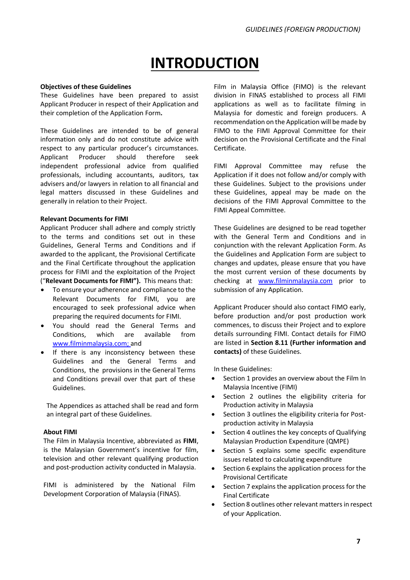### **INTRODUCTION**

#### **Objectives of these Guidelines**

These Guidelines have been prepared to assist Applicant Producer in respect of their Application and their completion of the Application Form**.** 

These Guidelines are intended to be of general information only and do not constitute advice with respect to any particular producer's circumstances. Applicant Producer should therefore seek independent professional advice from qualified professionals, including accountants, auditors, tax advisers and/or lawyers in relation to all financial and legal matters discussed in these Guidelines and generally in relation to their Project.

#### **Relevant Documents for FIMI**

Applicant Producer shall adhere and comply strictly to the terms and conditions set out in these Guidelines, General Terms and Conditions and if awarded to the applicant, the Provisional Certificate and the Final Certificate throughout the application process for FIMI and the exploitation of the Project ("**Relevant Documents for FIMI").** This means that:

- To ensure your adherence and compliance to the Relevant Documents for FIMI, you are encouraged to seek professional advice when preparing the required documents for FIMI.
- You should read the General Terms and Conditions, which are available from www.filminmalaysia.com; and
- If there is any inconsistency between these Guidelines and the General Terms and Conditions, the provisions in the General Terms and Conditions prevail over that part of these Guidelines.

The Appendices as attached shall be read and form an integral part of these Guidelines.

#### **About FIMI**

The Film in Malaysia Incentive, abbreviated as **FIMI**, is the Malaysian Government's incentive for film, television and other relevant qualifying production and post-production activity conducted in Malaysia.

FIMI is administered by the National Film Development Corporation of Malaysia (FINAS).

Film in Malaysia Office (FIMO) is the relevant division in FINAS established to process all FIMI applications as well as to facilitate filming in Malaysia for domestic and foreign producers. A recommendation on the Application will be made by FIMO to the FIMI Approval Committee for their decision on the Provisional Certificate and the Final Certificate.

FIMI Approval Committee may refuse the Application if it does not follow and/or comply with these Guidelines. Subject to the provisions under these Guidelines, appeal may be made on the decisions of the FIMI Approval Committee to the FIMI Appeal Committee.

These Guidelines are designed to be read together with the General Term and Conditions and in conjunction with the relevant Application Form. As the Guidelines and Application Form are subject to changes and updates, please ensure that you have the most current version of these documents by checking at [www.filminmalaysia.com](http://www.filminmalaysia.com/) prior to submission of any Application.

Applicant Producer should also contact FIMO early, before production and/or post production work commences, to discuss their Project and to explore details surrounding FIMI. Contact details for FIMO are listed in **Section 8.11 (Further information and contacts)** of these Guidelines.

In these Guidelines:

- Section 1 provides an overview about the Film In Malaysia Incentive (FIMI)
- Section 2 outlines the eligibility criteria for Production activity in Malaysia
- Section 3 outlines the eligibility criteria for Postproduction activity in Malaysia
- Section 4 outlines the key concepts of Qualifying Malaysian Production Expenditure (QMPE)
- Section 5 explains some specific expenditure issues related to calculating expenditure
- Section 6 explains the application process for the Provisional Certificate
- Section 7 explains the application process for the Final Certificate
- Section 8 outlines other relevant matters in respect of your Application.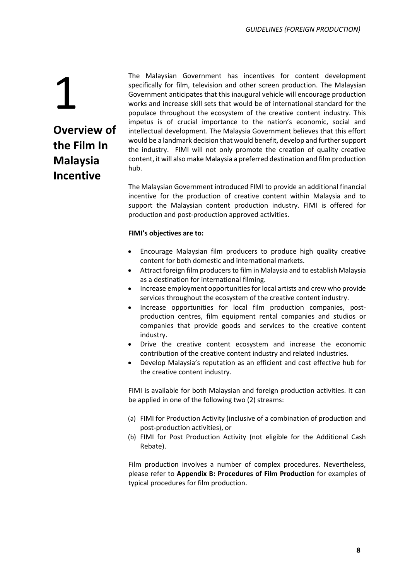### 1 **Overview of the Film In Malaysia Incentive**

The Malaysian Government has incentives for content development specifically for film, television and other screen production. The Malaysian Government anticipates that this inaugural vehicle will encourage production works and increase skill sets that would be of international standard for the populace throughout the ecosystem of the creative content industry. This impetus is of crucial importance to the nation's economic, social and intellectual development. The Malaysia Government believes that this effort would be a landmark decision that would benefit, develop and further support the industry. FIMI will not only promote the creation of quality creative content, it will also make Malaysia a preferred destination and film production hub.

The Malaysian Government introduced FIMI to provide an additional financial incentive for the production of creative content within Malaysia and to support the Malaysian content production industry. FIMI is offered for production and post-production approved activities.

### **FIMI's objectives are to:**

- Encourage Malaysian film producers to produce high quality creative content for both domestic and international markets.
- Attract foreign film producers to film in Malaysia and to establish Malaysia as a destination for international filming.
- Increase employment opportunities for local artists and crew who provide services throughout the ecosystem of the creative content industry.
- Increase opportunities for local film production companies, postproduction centres, film equipment rental companies and studios or companies that provide goods and services to the creative content industry.
- Drive the creative content ecosystem and increase the economic contribution of the creative content industry and related industries.
- Develop Malaysia's reputation as an efficient and cost effective hub for the creative content industry.

FIMI is available for both Malaysian and foreign production activities. It can be applied in one of the following two (2) streams:

- (a) FIMI for Production Activity (inclusive of a combination of production and post-production activities), or
- (b) FIMI for Post Production Activity (not eligible for the Additional Cash Rebate).

Film production involves a number of complex procedures. Nevertheless, please refer to **Appendix B: Procedures of Film Production** for examples of typical procedures for film production.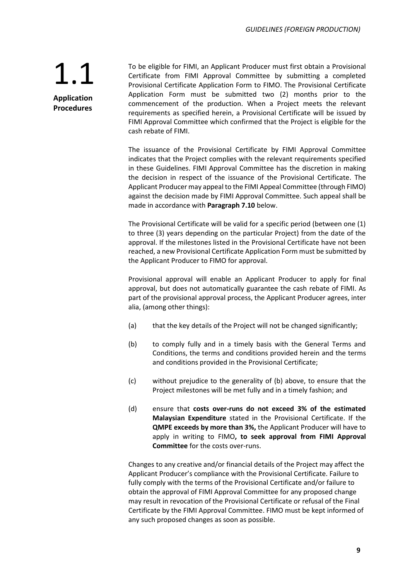**Application Procedures**

To be eligible for FIMI, an Applicant Producer must first obtain a Provisional Certificate from FIMI Approval Committee by submitting a completed Provisional Certificate Application Form to FIMO. The Provisional Certificate Application Form must be submitted two (2) months prior to the commencement of the production. When a Project meets the relevant requirements as specified herein, a Provisional Certificate will be issued by FIMI Approval Committee which confirmed that the Project is eligible for the cash rebate of FIMI.

The issuance of the Provisional Certificate by FIMI Approval Committee indicates that the Project complies with the relevant requirements specified in these Guidelines. FIMI Approval Committee has the discretion in making the decision in respect of the issuance of the Provisional Certificate. The Applicant Producer may appeal to the FIMI Appeal Committee (through FIMO) against the decision made by FIMI Approval Committee. Such appeal shall be made in accordance with **Paragraph 7.10** below.

The Provisional Certificate will be valid for a specific period (between one (1) to three (3) years depending on the particular Project) from the date of the approval. If the milestones listed in the Provisional Certificate have not been reached, a new Provisional Certificate Application Form must be submitted by the Applicant Producer to FIMO for approval.

Provisional approval will enable an Applicant Producer to apply for final approval, but does not automatically guarantee the cash rebate of FIMI. As part of the provisional approval process, the Applicant Producer agrees, inter alia, (among other things):

- (a) that the key details of the Project will not be changed significantly;
- (b) to comply fully and in a timely basis with the General Terms and Conditions, the terms and conditions provided herein and the terms and conditions provided in the Provisional Certificate;
- (c) without prejudice to the generality of (b) above, to ensure that the Project milestones will be met fully and in a timely fashion; and
- (d) ensure that **costs over-runs do not exceed 3% of the estimated Malaysian Expenditure** stated in the Provisional Certificate. If the **QMPE exceeds by more than 3%,** the Applicant Producer will have to apply in writing to FIMO**, to seek approval from FIMI Approval Committee** for the costs over-runs.

Changes to any creative and/or financial details of the Project may affect the Applicant Producer's compliance with the Provisional Certificate. Failure to fully comply with the terms of the Provisional Certificate and/or failure to obtain the approval of FIMI Approval Committee for any proposed change may result in revocation of the Provisional Certificate or refusal of the Final Certificate by the FIMI Approval Committee. FIMO must be kept informed of any such proposed changes as soon as possible.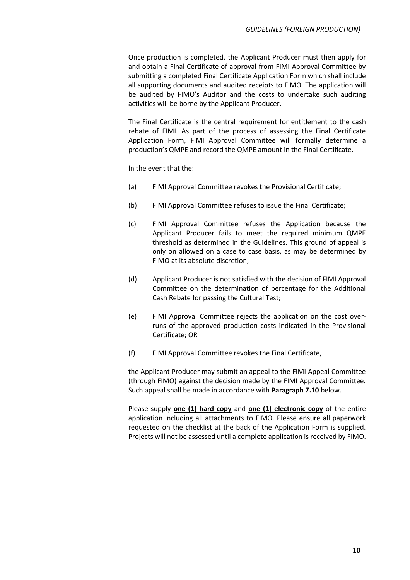Once production is completed, the Applicant Producer must then apply for and obtain a Final Certificate of approval from FIMI Approval Committee by submitting a completed Final Certificate Application Form which shall include all supporting documents and audited receipts to FIMO. The application will be audited by FIMO's Auditor and the costs to undertake such auditing activities will be borne by the Applicant Producer.

The Final Certificate is the central requirement for entitlement to the cash rebate of FIMI. As part of the process of assessing the Final Certificate Application Form, FIMI Approval Committee will formally determine a production's QMPE and record the QMPE amount in the Final Certificate.

In the event that the:

- (a) FIMI Approval Committee revokes the Provisional Certificate;
- (b) FIMI Approval Committee refuses to issue the Final Certificate;
- (c) FIMI Approval Committee refuses the Application because the Applicant Producer fails to meet the required minimum QMPE threshold as determined in the Guidelines. This ground of appeal is only on allowed on a case to case basis, as may be determined by FIMO at its absolute discretion;
- (d) Applicant Producer is not satisfied with the decision of FIMI Approval Committee on the determination of percentage for the Additional Cash Rebate for passing the Cultural Test;
- (e) FIMI Approval Committee rejects the application on the cost overruns of the approved production costs indicated in the Provisional Certificate; OR
- (f) FIMI Approval Committee revokes the Final Certificate,

the Applicant Producer may submit an appeal to the FIMI Appeal Committee (through FIMO) against the decision made by the FIMI Approval Committee. Such appeal shall be made in accordance with **Paragraph 7.10** below.

Please supply **one (1) hard copy** and **one (1) electronic copy** of the entire application including all attachments to FIMO. Please ensure all paperwork requested on the checklist at the back of the Application Form is supplied. Projects will not be assessed until a complete application is received by FIMO.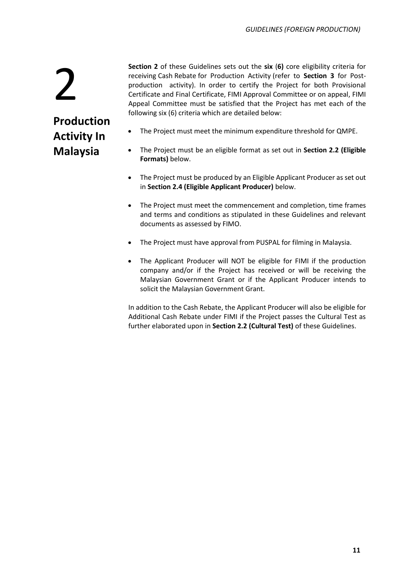2

### **Production Activity In Malaysia**

- **Section 2** of these Guidelines sets out the **six** (**6)** core eligibility criteria for receiving Cash Rebate for Production Activity (refer to **Section 3** for Postproduction activity). In order to certify the Project for both Provisional Certificate and Final Certificate, FIMI Approval Committee or on appeal, FIMI Appeal Committee must be satisfied that the Project has met each of the following six (6) criteria which are detailed below:
- The Project must meet the minimum expenditure threshold for QMPE.
- The Project must be an eligible format as set out in **Section 2.2 (Eligible Formats)** below.
- The Project must be produced by an Eligible Applicant Producer as set out in **Section 2.4 (Eligible Applicant Producer)** below.
- The Project must meet the commencement and completion, time frames and terms and conditions as stipulated in these Guidelines and relevant documents as assessed by FIMO.
- The Project must have approval from PUSPAL for filming in Malaysia.
- The Applicant Producer will NOT be eligible for FIMI if the production company and/or if the Project has received or will be receiving the Malaysian Government Grant or if the Applicant Producer intends to solicit the Malaysian Government Grant.

In addition to the Cash Rebate, the Applicant Producer will also be eligible for Additional Cash Rebate under FIMI if the Project passes the Cultural Test as further elaborated upon in **Section 2.2 (Cultural Test)** of these Guidelines.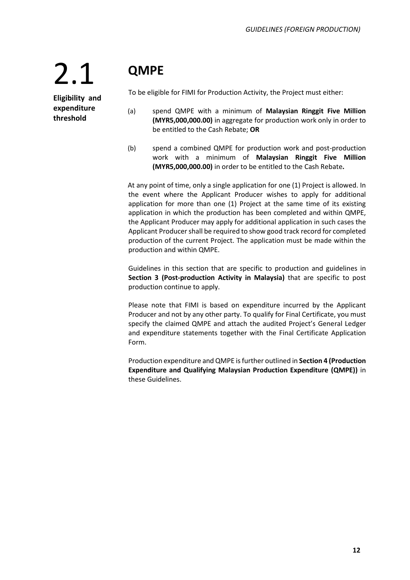### **QMPE**

**Eligibility and expenditure threshold**

2.1

To be eligible for FIMI for Production Activity, the Project must either:

- (a) spend QMPE with a minimum of **Malaysian Ringgit Five Million (MYR5,000,000.00)** in aggregate for production work only in order to be entitled to the Cash Rebate; **OR**
- (b) spend a combined QMPE for production work and post-production work with a minimum of **Malaysian Ringgit Five Million (MYR5,000,000.00)** in order to be entitled to the Cash Rebate**.**

At any point of time, only a single application for one (1) Project is allowed. In the event where the Applicant Producer wishes to apply for additional application for more than one (1) Project at the same time of its existing application in which the production has been completed and within QMPE, the Applicant Producer may apply for additional application in such cases the Applicant Producer shall be required to show good track record for completed production of the current Project. The application must be made within the production and within QMPE.

Guidelines in this section that are specific to production and guidelines in **Section 3 (Post-production Activity in Malaysia)** that are specific to post production continue to apply.

Please note that FIMI is based on expenditure incurred by the Applicant Producer and not by any other party. To qualify for Final Certificate, you must specify the claimed QMPE and attach the audited Project's General Ledger and expenditure statements together with the Final Certificate Application Form.

Production expenditure and QMPE is further outlined in **Section 4 (Production Expenditure and Qualifying Malaysian Production Expenditure (QMPE))** in these Guidelines.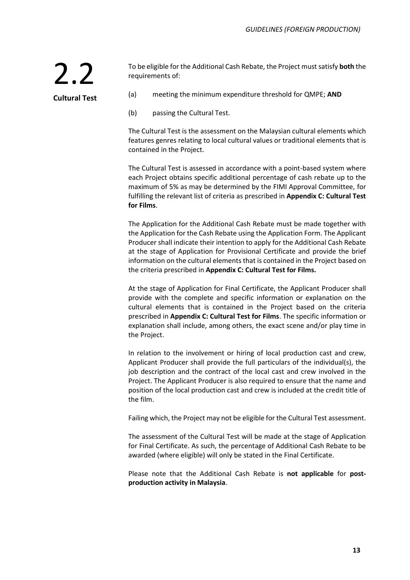To be eligible for the Additional Cash Rebate, the Project must satisfy **both** the requirements of:

**Cultural Test**

2.2

- (a) meeting the minimum expenditure threshold for QMPE; **AND**
- (b) passing the Cultural Test.

The Cultural Test is the assessment on the Malaysian cultural elements which features genres relating to local cultural values or traditional elements that is contained in the Project.

The Cultural Test is assessed in accordance with a point-based system where each Project obtains specific additional percentage of cash rebate up to the maximum of 5% as may be determined by the FIMI Approval Committee, for fulfilling the relevant list of criteria as prescribed in **Appendix C: Cultural Test for Films**.

The Application for the Additional Cash Rebate must be made together with the Application for the Cash Rebate using the Application Form. The Applicant Producer shall indicate their intention to apply for the Additional Cash Rebate at the stage of Application for Provisional Certificate and provide the brief information on the cultural elements that is contained in the Project based on the criteria prescribed in **Appendix C: Cultural Test for Films.**

At the stage of Application for Final Certificate, the Applicant Producer shall provide with the complete and specific information or explanation on the cultural elements that is contained in the Project based on the criteria prescribed in **Appendix C: Cultural Test for Films**. The specific information or explanation shall include, among others, the exact scene and/or play time in the Project.

In relation to the involvement or hiring of local production cast and crew, Applicant Producer shall provide the full particulars of the individual(s), the job description and the contract of the local cast and crew involved in the Project. The Applicant Producer is also required to ensure that the name and position of the local production cast and crew is included at the credit title of the film.

Failing which, the Project may not be eligible for the Cultural Test assessment.

The assessment of the Cultural Test will be made at the stage of Application for Final Certificate. As such, the percentage of Additional Cash Rebate to be awarded (where eligible) will only be stated in the Final Certificate.

Please note that the Additional Cash Rebate is **not applicable** for **postproduction activity in Malaysia**.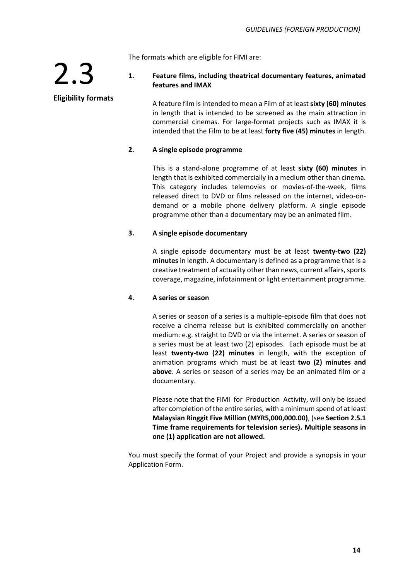The formats which are eligible for FIMI are:

### **1. Feature films, including theatrical documentary features, animated features and IMAX**

A feature film is intended to mean a Film of at least **sixty (60) minutes**  in length that is intended to be screened as the main attraction in commercial cinemas. For large-format projects such as IMAX it is intended that the Film to be at least **forty five** (**45) minutes** in length.

### **2. A single episode programme**

This is a stand-alone programme of at least **sixty (60) minutes** in length that is exhibited commercially in a medium other than cinema. This category includes telemovies or movies-of-the-week, films released direct to DVD or films released on the internet, video-ondemand or a mobile phone delivery platform. A single episode programme other than a documentary may be an animated film.

### **3. A single episode documentary**

A single episode documentary must be at least **twenty-two (22) minutes** in length. A documentary is defined as a programme that is a creative treatment of actuality other than news, current affairs, sports coverage, magazine, infotainment or light entertainment programme.

#### **4. A series or season**

A series or season of a series is a multiple-episode film that does not receive a cinema release but is exhibited commercially on another medium: e.g. straight to DVD or via the internet. A series or season of a series must be at least two (2) episodes. Each episode must be at least **twenty-two (22) minutes** in length, with the exception of animation programs which must be at least **two (2) minutes and above**. A series or season of a series may be an animated film or a documentary.

Please note that the FIMI for Production Activity, will only be issued after completion of the entire series, with a minimum spend of at least **Malaysian Ringgit Five Million (MYR5,000,000.00)**, (see **Section 2.5.1 Time frame requirements for television series). Multiple seasons in one (1) application are not allowed.**

You must specify the format of your Project and provide a synopsis in your Application Form.

### **Eligibility formats**

2.3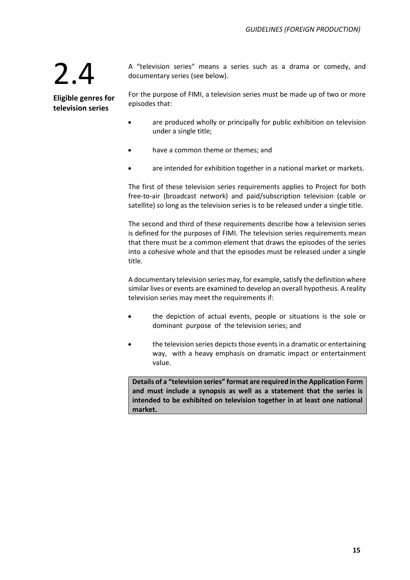A "television series" means a series such as a drama or comedy, and documentary series (see below).

**Eligible genres for television series**

For the purpose of FIMI, a television series must be made up of two or more episodes that:

- are produced wholly or principally for public exhibition on television under a single title;
- have a common theme or themes; and
- are intended for exhibition together in a national market or markets.

The first of these television series requirements applies to Project for both free-to-air (broadcast network) and paid/subscription television (cable or satellite) so long as the television series is to be released under a single title.

The second and third of these requirements describe how a television series is defined for the purposes of FIMI. The television series requirements mean that there must be a common element that draws the episodes of the series into a cohesive whole and that the episodes must be released under a single title.

A documentary television series may, for example, satisfy the definition where similar lives or events are examined to develop an overall hypothesis. A reality television series may meet the requirements if:

- the depiction of actual events, people or situations is the sole or dominant purpose of the television series; and
- the television series depicts those events in a dramatic or entertaining way, with a heavy emphasis on dramatic impact or entertainment value.

**Details of a "television series" format are required in the Application Form and must include a synopsis as well as a statement that the series is intended to be exhibited on television together in at least one national market.**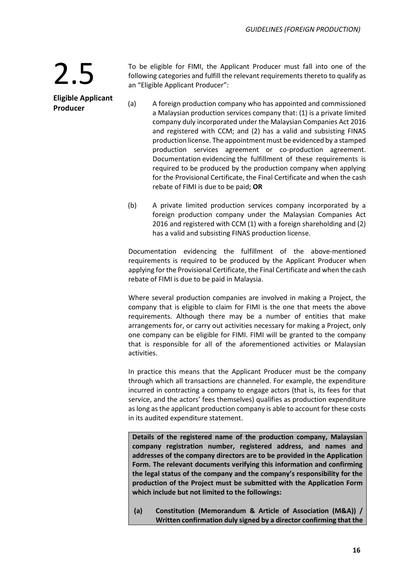**Producer**

**Eligible Applicant**

To be eligible for FIMI, the Applicant Producer must fall into one of the following categories and fulfill the relevant requirements thereto to qualify as an "Eligible Applicant Producer":

- (a) A foreign production company who has appointed and commissioned a Malaysian production services company that: (1) is a private limited company duly incorporated under the Malaysian Companies Act 2016 and registered with CCM; and (2) has a valid and subsisting FINAS production license. The appointment must be evidenced by a stamped production services agreement or co-production agreement. Documentation evidencing the fulfillment of these requirements is required to be produced by the production company when applying for the Provisional Certificate, the Final Certificate and when the cash rebate of FIMI is due to be paid; **OR**
	- (b) A private limited production services company incorporated by a foreign production company under the Malaysian Companies Act 2016 and registered with CCM (1) with a foreign shareholding and (2) has a valid and subsisting FINAS production license.

Documentation evidencing the fulfillment of the above-mentioned requirements is required to be produced by the Applicant Producer when applying for the Provisional Certificate, the Final Certificate and when the cash rebate of FIMI is due to be paid in Malaysia.

Where several production companies are involved in making a Project, the company that is eligible to claim for FIMI is the one that meets the above requirements. Although there may be a number of entities that make arrangements for, or carry out activities necessary for making a Project, only one company can be eligible for FIMI. FIMI will be granted to the company that is responsible for all of the aforementioned activities or Malaysian activities.

In practice this means that the Applicant Producer must be the company through which all transactions are channeled. For example, the expenditure incurred in contracting a company to engage actors (that is, its fees for that service, and the actors' fees themselves) qualifies as production expenditure as long as the applicant production company is able to account for these costs in its audited expenditure statement.

**Details of the registered name of the production company, Malaysian company registration number, registered address, and names and addresses of the company directors are to be provided in the Application Form. The relevant documents verifying this information and confirming the legal status of the company and the company's responsibility for the production of the Project must be submitted with the Application Form which include but not limited to the followings:**

**(a) Constitution (Memorandum & Article of Association (M&A)) / Written confirmation duly signed by a director confirming that the**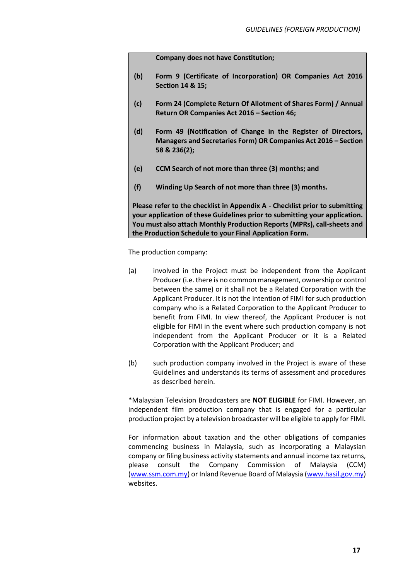**Company does not have Constitution;**

- **(b) Form 9 (Certificate of Incorporation) OR Companies Act 2016 Section 14 & 15;**
- **(c) Form 24 (Complete Return Of Allotment of Shares Form) / Annual Return OR Companies Act 2016 – Section 46;**
- **(d) Form 49 (Notification of Change in the Register of Directors, Managers and Secretaries Form) OR Companies Act 2016 – Section 58 & 236(2);**
- **(e) CCM Search of not more than three (3) months; and**
- **(f) Winding Up Search of not more than three (3) months.**

**Please refer to the checklist in Appendix A - Checklist prior to submitting your application of these Guidelines prior to submitting your application. You must also attach Monthly Production Reports (MPRs), call-sheets and the Production Schedule to your Final Application Form.**

The production company:

- (a) involved in the Project must be independent from the Applicant Producer (i.e. there is no common management, ownership or control between the same) or it shall not be a Related Corporation with the Applicant Producer. It is not the intention of FIMI for such production company who is a Related Corporation to the Applicant Producer to benefit from FIMI. In view thereof, the Applicant Producer is not eligible for FIMI in the event where such production company is not independent from the Applicant Producer or it is a Related Corporation with the Applicant Producer; and
- (b) such production company involved in the Project is aware of these Guidelines and understands its terms of assessment and procedures as described herein.

\*Malaysian Television Broadcasters are **NOT ELIGIBLE** for FIMI. However, an independent film production company that is engaged for a particular production project by a television broadcaster will be eligible to apply for FIMI.

For information about taxation and the other obligations of companies commencing business in Malaysia, such as incorporating a Malaysian company or filing business activity statements and annual income tax returns, please consult the Company Commission of Malaysia (CCM) (www.ssm.com.my) or Inland Revenue Board of Malaysia (www.hasil.gov.my) websites.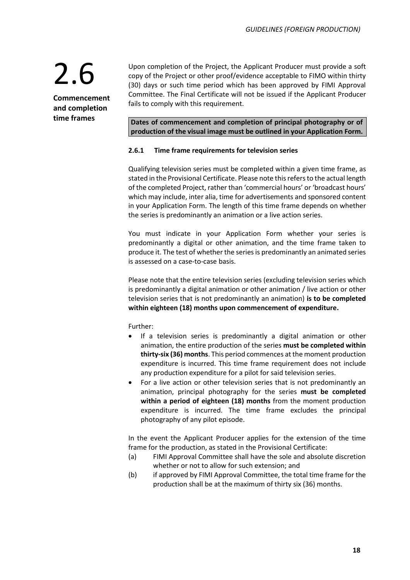**Commencement and completion time frames**

Upon completion of the Project, the Applicant Producer must provide a soft copy of the Project or other proof/evidence acceptable to FIMO within thirty (30) days or such time period which has been approved by FIMI Approval Committee. The Final Certificate will not be issued if the Applicant Producer fails to comply with this requirement.

**Dates of commencement and completion of principal photography or of production of the visual image must be outlined in your Application Form.** 

#### **2.6.1 Time frame requirements for television series**

Qualifying television series must be completed within a given time frame, as stated in the Provisional Certificate. Please note this refers to the actual length of the completed Project, rather than 'commercial hours' or 'broadcast hours' which may include, inter alia, time for advertisements and sponsored content in your Application Form. The length of this time frame depends on whether the series is predominantly an animation or a live action series.

You must indicate in your Application Form whether your series is predominantly a digital or other animation, and the time frame taken to produce it. The test of whether the series is predominantly an animated series is assessed on a case-to-case basis.

Please note that the entire television series (excluding television series which is predominantly a digital animation or other animation / live action or other television series that is not predominantly an animation) **is to be completed within eighteen (18) months upon commencement of expenditure.**

Further:

- If a television series is predominantly a digital animation or other animation, the entire production of the series **must be completed within thirty-six (36) months**. This period commences at the moment production expenditure is incurred. This time frame requirement does not include any production expenditure for a pilot for said television series.
- For a live action or other television series that is not predominantly an animation, principal photography for the series **must be completed within a period of eighteen (18) months** from the moment production expenditure is incurred. The time frame excludes the principal photography of any pilot episode.

In the event the Applicant Producer applies for the extension of the time frame for the production, as stated in the Provisional Certificate:

- (a) FIMI Approval Committee shall have the sole and absolute discretion whether or not to allow for such extension; and
- (b) if approved by FIMI Approval Committee, the total time frame for the production shall be at the maximum of thirty six (36) months.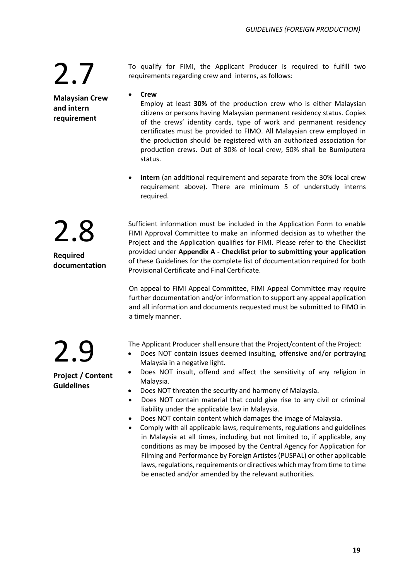2.8

**Required** 

**documentation**

**Malaysian Crew and intern requirement**

To qualify for FIMI, the Applicant Producer is required to fulfill two requirements regarding crew and interns, as follows:

• **Crew**

Employ at least **30%** of the production crew who is either Malaysian citizens or persons having Malaysian permanent residency status. Copies of the crews' identity cards, type of work and permanent residency certificates must be provided to FIMO. All Malaysian crew employed in the production should be registered with an authorized association for production crews. Out of 30% of local crew, 50% shall be Bumiputera status.

• **Intern** (an additional requirement and separate from the 30% local crew requirement above). There are minimum 5 of understudy interns required.

Sufficient information must be included in the Application Form to enable FIMI Approval Committee to make an informed decision as to whether the Project and the Application qualifies for FIMI. Please refer to the Checklist provided under **Appendix A - Checklist prior to submitting your application** of these Guidelines for the complete list of documentation required for both Provisional Certificate and Final Certificate.

On appeal to FIMI Appeal Committee, FIMI Appeal Committee may require further documentation and/or information to support any appeal application and all information and documents requested must be submitted to FIMO in a timely manner.

The Applicant Producer shall ensure that the Project/content of the Project:

- Does NOT contain issues deemed insulting, offensive and/or portraying Malaysia in a negative light.
- Does NOT insult, offend and affect the sensitivity of any religion in Malaysia.
- Does NOT threaten the security and harmony of Malaysia.
- Does NOT contain material that could give rise to any civil or criminal liability under the applicable law in Malaysia.
- Does NOT contain content which damages the image of Malaysia.
- Comply with all applicable laws, requirements, regulations and guidelines in Malaysia at all times, including but not limited to, if applicable, any conditions as may be imposed by the Central Agency for Application for Filming and Performance by Foreign Artistes (PUSPAL) or other applicable laws, regulations, requirements or directives which may from time to time be enacted and/or amended by the relevant authorities.

2.9 **Project / Content** 

**Guidelines**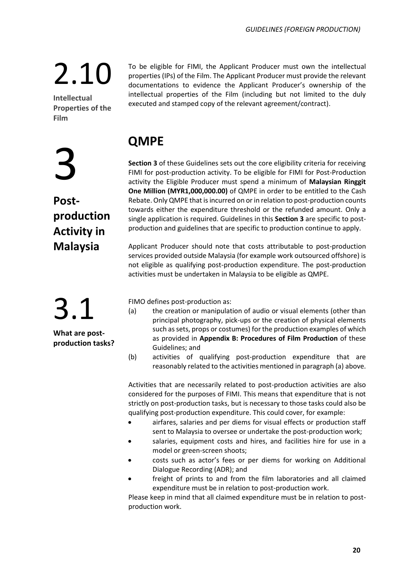**Intellectual Properties of the Film**

## 3

**Postproduction Activity in Malaysia**

### 3.1

**What are postproduction tasks?** To be eligible for FIMI, the Applicant Producer must own the intellectual properties (IPs) of the Film. The Applicant Producer must provide the relevant documentations to evidence the Applicant Producer's ownership of the intellectual properties of the Film (including but not limited to the duly executed and stamped copy of the relevant agreement/contract).

### **QMPE**

**Section 3** of these Guidelines sets out the core eligibility criteria for receiving FIMI for post-production activity. To be eligible for FIMI for Post-Production activity the Eligible Producer must spend a minimum of **Malaysian Ringgit One Million (MYR1,000,000.00)** of QMPE in order to be entitled to the Cash Rebate. Only QMPE that is incurred on or in relation to post-production counts towards either the expenditure threshold or the refunded amount. Only a single application is required. Guidelines in this **Section 3** are specific to postproduction and guidelines that are specific to production continue to apply.

Applicant Producer should note that costs attributable to post-production services provided outside Malaysia (for example work outsourced offshore) is not eligible as qualifying post-production expenditure. The post-production activities must be undertaken in Malaysia to be eligible as QMPE.

FIMO defines post-production as:

- (a) the creation or manipulation of audio or visual elements (other than principal photography, pick-ups or the creation of physical elements such as sets, props or costumes) for the production examples of which as provided in **Appendix B: Procedures of Film Production** of these Guidelines; and
- (b) activities of qualifying post-production expenditure that are reasonably related to the activities mentioned in paragraph (a) above.

Activities that are necessarily related to post-production activities are also considered for the purposes of FIMI. This means that expenditure that is not strictly on post-production tasks, but is necessary to those tasks could also be qualifying post-production expenditure. This could cover, for example:

- airfares, salaries and per diems for visual effects or production staff sent to Malaysia to oversee or undertake the post-production work;
- salaries, equipment costs and hires, and facilities hire for use in a model or green-screen shoots;
- costs such as actor's fees or per diems for working on Additional Dialogue Recording (ADR); and
- freight of prints to and from the film laboratories and all claimed expenditure must be in relation to post-production work.

Please keep in mind that all claimed expenditure must be in relation to postproduction work.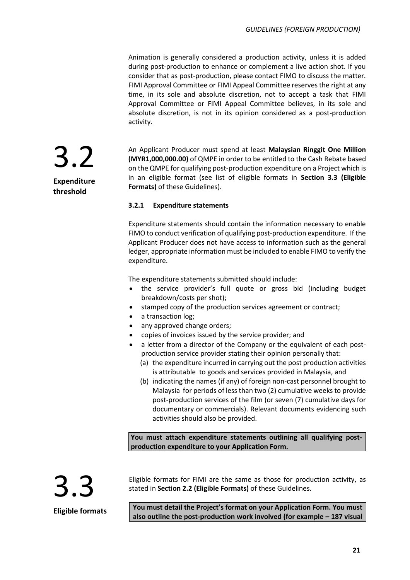Animation is generally considered a production activity, unless it is added during post-production to enhance or complement a live action shot. If you consider that as post-production, please contact FIMO to discuss the matter. FIMI Approval Committee or FIMI Appeal Committee reserves the right at any time, in its sole and absolute discretion, not to accept a task that FIMI Approval Committee or FIMI Appeal Committee believes, in its sole and absolute discretion, is not in its opinion considered as a post-production activity.

An Applicant Producer must spend at least **Malaysian Ringgit One Million (MYR1,000,000.00)** of QMPE in order to be entitled to the Cash Rebate based on the QMPE for qualifying post-production expenditure on a Project which is in an eligible format (see list of eligible formats in **Section 3.3 (Eligible Formats)** of these Guidelines).

### **3.2.1 Expenditure statements**

Expenditure statements should contain the information necessary to enable FIMO to conduct verification of qualifying post-production expenditure. If the Applicant Producer does not have access to information such as the general ledger, appropriate information must be included to enable FIMO to verify the expenditure.

The expenditure statements submitted should include:

- the service provider's full quote or gross bid (including budget breakdown/costs per shot);
- stamped copy of the production services agreement or contract;
- a transaction log;
- any approved change orders;
- copies of invoices issued by the service provider; and
- a letter from a director of the Company or the equivalent of each postproduction service provider stating their opinion personally that:
	- (a) the expenditure incurred in carrying out the post production activities is attributable to goods and services provided in Malaysia, and
	- (b) indicating the names (if any) of foreign non-cast personnel brought to Malaysia for periods of less than two (2) cumulative weeks to provide post-production services of the film (or seven (7) cumulative days for documentary or commercials). Relevant documents evidencing such activities should also be provided.

**You must attach expenditure statements outlining all qualifying postproduction expenditure to your Application Form.**



Eligible formats for FIMI are the same as those for production activity, as stated in **Section 2.2 (Eligible Formats)** of these Guidelines.

**You must detail the Project's format on your Application Form. You must also outline the post-production work involved (for example – 187 visual** 

3.2 **Expenditure threshold**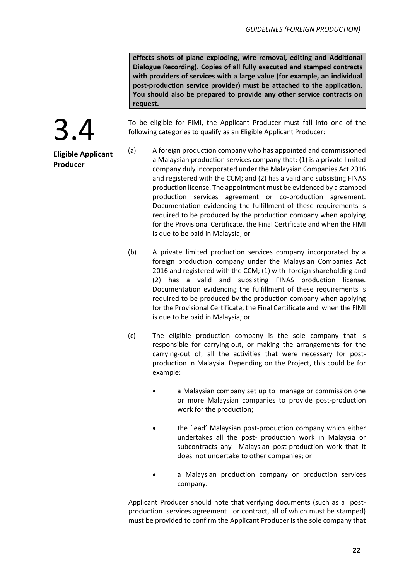**effects shots of plane exploding, wire removal, editing and Additional Dialogue Recording). Copies of all fully executed and stamped contracts with providers of services with a large value (for example, an individual post-production service provider) must be attached to the application. You should also be prepared to provide any other service contracts on request.**

To be eligible for FIMI, the Applicant Producer must fall into one of the following categories to qualify as an Eligible Applicant Producer:

- (a) A foreign production company who has appointed and commissioned a Malaysian production services company that: (1) is a private limited company duly incorporated under the Malaysian Companies Act 2016 and registered with the CCM; and (2) has a valid and subsisting FINAS production license. The appointment must be evidenced by a stamped production services agreement or co-production agreement. Documentation evidencing the fulfillment of these requirements is required to be produced by the production company when applying for the Provisional Certificate, the Final Certificate and when the FIMI is due to be paid in Malaysia; or
	- (b) A private limited production services company incorporated by a foreign production company under the Malaysian Companies Act 2016 and registered with the CCM; (1) with foreign shareholding and (2) has a valid and subsisting FINAS production license. Documentation evidencing the fulfillment of these requirements is required to be produced by the production company when applying for the Provisional Certificate, the Final Certificate and when the FIMI is due to be paid in Malaysia; or
	- (c) The eligible production company is the sole company that is responsible for carrying-out, or making the arrangements for the carrying-out of, all the activities that were necessary for postproduction in Malaysia. Depending on the Project, this could be for example:
		- a Malaysian company set up to manage or commission one or more Malaysian companies to provide post-production work for the production;
		- the 'lead' Malaysian post-production company which either undertakes all the post- production work in Malaysia or subcontracts any Malaysian post-production work that it does not undertake to other companies; or
		- a Malaysian production company or production services company.

Applicant Producer should note that verifying documents (such as a postproduction services agreement or contract, all of which must be stamped) must be provided to confirm the Applicant Producer is the sole company that



**Eligible Applicant Producer**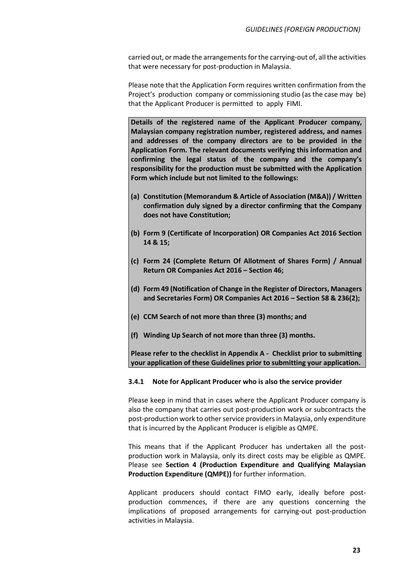carried out, or made the arrangements for the carrying-out of, all the activities that were necessary for post-production in Malaysia.

Please note that the Application Form requires written confirmation from the Project's production company or commissioning studio (as the case may be) that the Applicant Producer is permitted to apply FIMI.

**Details of the registered name of the Applicant Producer company, Malaysian company registration number, registered address, and names and addresses of the company directors are to be provided in the Application Form. The relevant documents verifying this information and confirming the legal status of the company and the company's responsibility for the production must be submitted with the Application Form which include but not limited to the followings:**

- **(a) Constitution (Memorandum & Article of Association (M&A)) / Written confirmation duly signed by a director confirming that the Company does not have Constitution;**
- **(b) Form 9 (Certificate of Incorporation) OR Companies Act 2016 Section 14 & 15;**
- **(c) Form 24 (Complete Return Of Allotment of Shares Form) / Annual Return OR Companies Act 2016 – Section 46;**
- **(d) Form 49 (Notification of Change in the Register of Directors, Managers and Secretaries Form) OR Companies Act 2016 – Section 58 & 236(2);**
- **(e) CCM Search of not more than three (3) months; and**
- **(f) Winding Up Search of not more than three (3) months.**

**Please refer to the checklist in Appendix A - Checklist prior to submitting your application of these Guidelines prior to submitting your application.**

#### **3.4.1 Note for Applicant Producer who is also the service provider**

Please keep in mind that in cases where the Applicant Producer company is also the company that carries out post-production work or subcontracts the post-production work to other service providers in Malaysia, only expenditure that is incurred by the Applicant Producer is eligible as QMPE.

This means that if the Applicant Producer has undertaken all the postproduction work in Malaysia, only its direct costs may be eligible as QMPE. Please see **Section 4 (Production Expenditure and Qualifying Malaysian Production Expenditure (QMPE))** for further information.

Applicant producers should contact FIMO early, ideally before postproduction commences, if there are any questions concerning the implications of proposed arrangements for carrying-out post-production activities in Malaysia.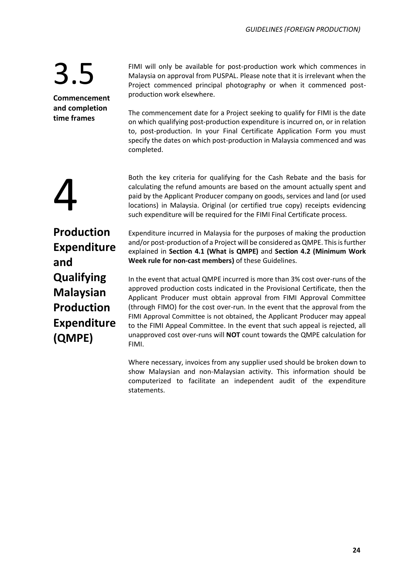**Commencement and completion time frames**

FIMI will only be available for post-production work which commences in Malaysia on approval from PUSPAL. Please note that it is irrelevant when the Project commenced principal photography or when it commenced postproduction work elsewhere.

The commencement date for a Project seeking to qualify for FIMI is the date on which qualifying post-production expenditure is incurred on, or in relation to, post-production. In your Final Certificate Application Form you must specify the dates on which post-production in Malaysia commenced and was completed.

4

Both the key criteria for qualifying for the Cash Rebate and the basis for calculating the refund amounts are based on the amount actually spent and paid by the Applicant Producer company on goods, services and land (or used locations) in Malaysia. Original (or certified true copy) receipts evidencing such expenditure will be required for the FIMI Final Certificate process.

**Production Expenditure and Qualifying Malaysian Production Expenditure (QMPE)**

Expenditure incurred in Malaysia for the purposes of making the production and/or post-production of a Project will be considered as QMPE. This is further explained in **Section 4.1 (What is QMPE)** and **Section 4.2 (Minimum Work Week rule for non-cast members)** of these Guidelines.

In the event that actual QMPE incurred is more than 3% cost over-runs of the approved production costs indicated in the Provisional Certificate, then the Applicant Producer must obtain approval from FIMI Approval Committee (through FIMO) for the cost over-run. In the event that the approval from the FIMI Approval Committee is not obtained, the Applicant Producer may appeal to the FIMI Appeal Committee. In the event that such appeal is rejected, all unapproved cost over-runs will **NOT** count towards the QMPE calculation for FIMI.

Where necessary, invoices from any supplier used should be broken down to show Malaysian and non-Malaysian activity. This information should be computerized to facilitate an independent audit of the expenditure statements.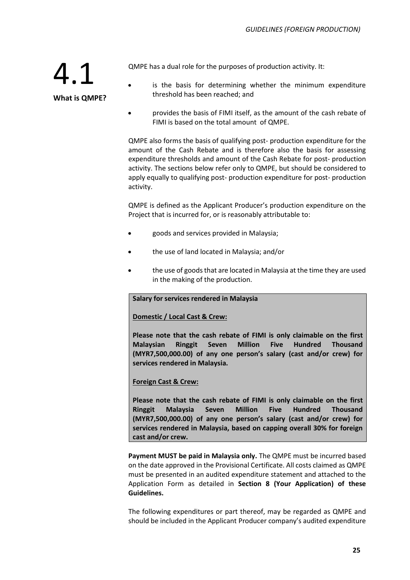QMPE has a dual role for the purposes of production activity. It:

- 4.1 **What is QMPE?**
- is the basis for determining whether the minimum expenditure threshold has been reached; and
- provides the basis of FIMI itself, as the amount of the cash rebate of FIMI is based on the total amount of QMPE.

QMPE also forms the basis of qualifying post- production expenditure for the amount of the Cash Rebate and is therefore also the basis for assessing expenditure thresholds and amount of the Cash Rebate for post- production activity. The sections below refer only to QMPE, but should be considered to apply equally to qualifying post- production expenditure for post- production activity.

QMPE is defined as the Applicant Producer's production expenditure on the Project that is incurred for, or is reasonably attributable to:

- goods and services provided in Malaysia;
- the use of land located in Malaysia; and/or
- the use of goods that are located in Malaysia at the time they are used in the making of the production.

#### **Salary for services rendered in Malaysia**

#### **Domestic / Local Cast & Crew:**

**Please note that the cash rebate of FIMI is only claimable on the first Malaysian Ringgit Seven Million Five Hundred Thousand (MYR7,500,000.00) of any one person's salary (cast and/or crew) for services rendered in Malaysia.**

#### **Foreign Cast & Crew:**

**Please note that the cash rebate of FIMI is only claimable on the first Ringgit Malaysia Seven Million Five Hundred Thousand (MYR7,500,000.00) of any one person's salary (cast and/or crew) for services rendered in Malaysia, based on capping overall 30% for foreign cast and/or crew.** 

**Payment MUST be paid in Malaysia only.** The QMPE must be incurred based on the date approved in the Provisional Certificate. All costs claimed as QMPE must be presented in an audited expenditure statement and attached to the Application Form as detailed in **Section 8 (Your Application) of these Guidelines.**

The following expenditures or part thereof, may be regarded as QMPE and should be included in the Applicant Producer company's audited expenditure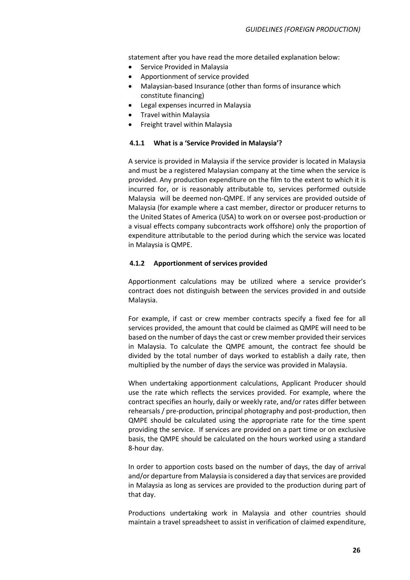statement after you have read the more detailed explanation below:

- Service Provided in Malaysia
- Apportionment of service provided
- Malaysian-based Insurance (other than forms of insurance which constitute financing)
- Legal expenses incurred in Malaysia
- Travel within Malaysia
- Freight travel within Malaysia

#### **4.1.1 What is a 'Service Provided in Malaysia'?**

A service is provided in Malaysia if the service provider is located in Malaysia and must be a registered Malaysian company at the time when the service is provided. Any production expenditure on the film to the extent to which it is incurred for, or is reasonably attributable to, services performed outside Malaysia will be deemed non-QMPE. If any services are provided outside of Malaysia (for example where a cast member, director or producer returns to the United States of America (USA) to work on or oversee post-production or a visual effects company subcontracts work offshore) only the proportion of expenditure attributable to the period during which the service was located in Malaysia is QMPE.

#### **4.1.2 Apportionment of services provided**

Apportionment calculations may be utilized where a service provider's contract does not distinguish between the services provided in and outside Malaysia.

For example, if cast or crew member contracts specify a fixed fee for all services provided, the amount that could be claimed as QMPE will need to be based on the number of days the cast or crew member provided their services in Malaysia. To calculate the QMPE amount, the contract fee should be divided by the total number of days worked to establish a daily rate, then multiplied by the number of days the service was provided in Malaysia.

When undertaking apportionment calculations, Applicant Producer should use the rate which reflects the services provided. For example, where the contract specifies an hourly, daily or weekly rate, and/or rates differ between rehearsals / pre-production, principal photography and post-production, then QMPE should be calculated using the appropriate rate for the time spent providing the service. If services are provided on a part time or on exclusive basis, the QMPE should be calculated on the hours worked using a standard 8-hour day.

In order to apportion costs based on the number of days, the day of arrival and/or departure from Malaysia is considered a day that services are provided in Malaysia as long as services are provided to the production during part of that day.

Productions undertaking work in Malaysia and other countries should maintain a travel spreadsheet to assist in verification of claimed expenditure,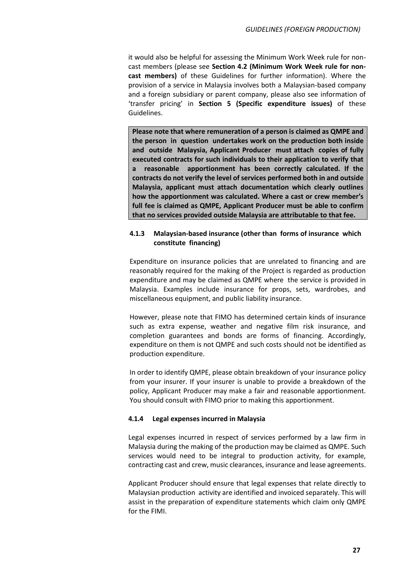it would also be helpful for assessing the Minimum Work Week rule for noncast members (please see **Section 4.2 (Minimum Work Week rule for noncast members)** of these Guidelines for further information). Where the provision of a service in Malaysia involves both a Malaysian-based company and a foreign subsidiary or parent company, please also see information of 'transfer pricing' in **Section 5 (Specific expenditure issues)** of these Guidelines.

**Please note that where remuneration of a person is claimed as QMPE and the person in question undertakes work on the production both inside and outside Malaysia, Applicant Producer must attach copies of fully executed contracts for such individuals to their application to verify that a reasonable apportionment has been correctly calculated. If the contracts do not verify the level of services performed both in and outside Malaysia, applicant must attach documentation which clearly outlines how the apportionment was calculated. Where a cast or crew member's full fee is claimed as QMPE, Applicant Producer must be able to confirm that no services provided outside Malaysia are attributable to that fee.**

### **4.1.3 Malaysian-based insurance (other than forms of insurance which constitute financing)**

Expenditure on insurance policies that are unrelated to financing and are reasonably required for the making of the Project is regarded as production expenditure and may be claimed as QMPE where the service is provided in Malaysia. Examples include insurance for props, sets, wardrobes, and miscellaneous equipment, and public liability insurance.

However, please note that FIMO has determined certain kinds of insurance such as extra expense, weather and negative film risk insurance, and completion guarantees and bonds are forms of financing. Accordingly, expenditure on them is not QMPE and such costs should not be identified as production expenditure.

In order to identify QMPE, please obtain breakdown of your insurance policy from your insurer. If your insurer is unable to provide a breakdown of the policy, Applicant Producer may make a fair and reasonable apportionment. You should consult with FIMO prior to making this apportionment.

#### **4.1.4 Legal expenses incurred in Malaysia**

Legal expenses incurred in respect of services performed by a law firm in Malaysia during the making of the production may be claimed as QMPE. Such services would need to be integral to production activity, for example, contracting cast and crew, music clearances, insurance and lease agreements.

Applicant Producer should ensure that legal expenses that relate directly to Malaysian production activity are identified and invoiced separately. This will assist in the preparation of expenditure statements which claim only QMPE for the FIMI.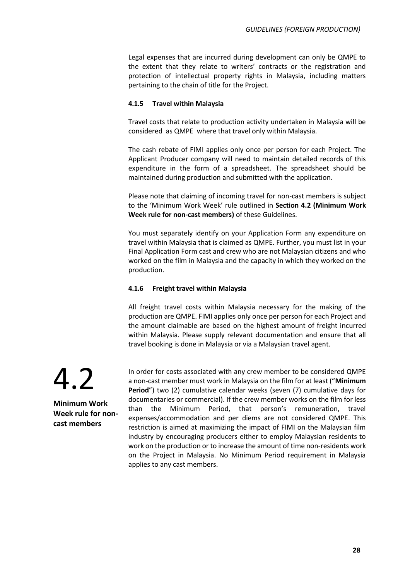Legal expenses that are incurred during development can only be QMPE to the extent that they relate to writers' contracts or the registration and protection of intellectual property rights in Malaysia, including matters pertaining to the chain of title for the Project.

### **4.1.5 Travel within Malaysia**

Travel costs that relate to production activity undertaken in Malaysia will be considered as QMPE where that travel only within Malaysia.

The cash rebate of FIMI applies only once per person for each Project. The Applicant Producer company will need to maintain detailed records of this expenditure in the form of a spreadsheet. The spreadsheet should be maintained during production and submitted with the application.

Please note that claiming of incoming travel for non-cast members is subject to the 'Minimum Work Week' rule outlined in **Section 4.2 (Minimum Work Week rule for non-cast members)** of these Guidelines.

You must separately identify on your Application Form any expenditure on travel within Malaysia that is claimed as QMPE. Further, you must list in your Final Application Form cast and crew who are not Malaysian citizens and who worked on the film in Malaysia and the capacity in which they worked on the production.

### **4.1.6 Freight travel within Malaysia**

All freight travel costs within Malaysia necessary for the making of the production are QMPE. FIMI applies only once per person for each Project and the amount claimable are based on the highest amount of freight incurred within Malaysia. Please supply relevant documentation and ensure that all travel booking is done in Malaysia or via a Malaysian travel agent.

4.2

**Minimum Work Week rule for noncast members**

In order for costs associated with any crew member to be considered QMPE a non-cast member must work in Malaysia on the film for at least ("**Minimum Period**") two (2) cumulative calendar weeks (seven (7) cumulative days for documentaries or commercial). If the crew member works on the film for less than the Minimum Period, that person's remuneration, travel expenses/accommodation and per diems are not considered QMPE. This restriction is aimed at maximizing the impact of FIMI on the Malaysian film industry by encouraging producers either to employ Malaysian residents to work on the production or to increase the amount of time non-residents work on the Project in Malaysia. No Minimum Period requirement in Malaysia applies to any cast members.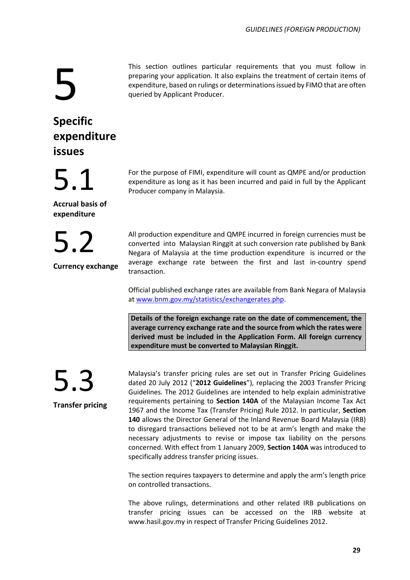5

### This section outlines particular requirements that you must follow in preparing your application. It also explains the treatment of certain items of expenditure, based on rulings or determinations issued by FIMO that are often queried by Applicant Producer.

### **Specific expenditure issues**

5.1

**Accrual basis of expenditure**

5.2

**Currency exchange**

For the purpose of FIMI, expenditure will count as QMPE and/or production expenditure as long as it has been incurred and paid in full by the Applicant Producer company in Malaysia.

All production expenditure and QMPE incurred in foreign currencies must be converted into Malaysian Ringgit at such conversion rate published by Bank Negara of Malaysia at the time production expenditure is incurred or the average exchange rate between the first and last in-country spend transaction.

Official published exchange rates are available from Bank Negara of Malaysia a[t www.bnm.gov.my/statistics/exchangerates.php.](http://www.bnm.gov.my/statistics/exchangerates.php)

**Details of the foreign exchange rate on the date of commencement, the average currency exchange rate and the source from which the rates were derived must be included in the Application Form. All foreign currency expenditure must be converted to Malaysian Ringgit.**

5.3

**Transfer pricing**

Malaysia's transfer pricing rules are set out in Transfer Pricing Guidelines dated 20 July 2012 ("**2012 Guidelines**"), replacing the 2003 Transfer Pricing Guidelines. The 2012 Guidelines are intended to help explain administrative requirements pertaining to **Section 140A** of the Malaysian Income Tax Act 1967 and the Income Tax (Transfer Pricing) Rule 2012. In particular, **Section 140** allows the Director General of the Inland Revenue Board Malaysia (IRB) to disregard transactions believed not to be at arm's length and make the necessary adjustments to revise or impose tax liability on the persons concerned. With effect from 1 January 2009, **Section 140A** was introduced to specifically address transfer pricing issues.

The section requires taxpayers to determine and apply the arm's length price on controlled transactions.

The above rulings, determinations and other related IRB publications on transfer pricing issues can be accessed on the IRB website at www.hasil.gov.my in respect of Transfer Pricing Guidelines 2012.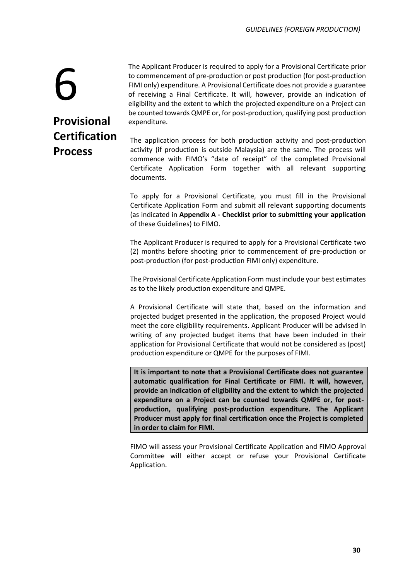### The Applicant Producer is required to apply for a Provisional Certificate prior to commencement of pre-production or post production (for post-production FIMI only) expenditure. A Provisional Certificate does not provide a guarantee of receiving a Final Certificate. It will, however, provide an indication of eligibility and the extent to which the projected expenditure on a Project can be counted towards QMPE or, for post-production, qualifying post production expenditure.

6 **Provisional Certification Process**

The application process for both production activity and post-production activity (if production is outside Malaysia) are the same. The process will commence with FIMO's "date of receipt" of the completed Provisional Certificate Application Form together with all relevant supporting documents.

To apply for a Provisional Certificate, you must fill in the Provisional Certificate Application Form and submit all relevant supporting documents (as indicated in **Appendix A - Checklist prior to submitting your application** of these Guidelines) to FIMO.

The Applicant Producer is required to apply for a Provisional Certificate two (2) months before shooting prior to commencement of pre-production or post-production (for post-production FIMI only) expenditure.

The Provisional Certificate Application Form must include your best estimates as to the likely production expenditure and QMPE.

A Provisional Certificate will state that, based on the information and projected budget presented in the application, the proposed Project would meet the core eligibility requirements. Applicant Producer will be advised in writing of any projected budget items that have been included in their application for Provisional Certificate that would not be considered as (post) production expenditure or QMPE for the purposes of FIMI.

**It is important to note that a Provisional Certificate does not guarantee automatic qualification for Final Certificate or FIMI. It will, however, provide an indication of eligibility and the extent to which the projected expenditure on a Project can be counted towards QMPE or, for postproduction, qualifying post-production expenditure. The Applicant Producer must apply for final certification once the Project is completed in order to claim for FIMI.**

FIMO will assess your Provisional Certificate Application and FIMO Approval Committee will either accept or refuse your Provisional Certificate Application.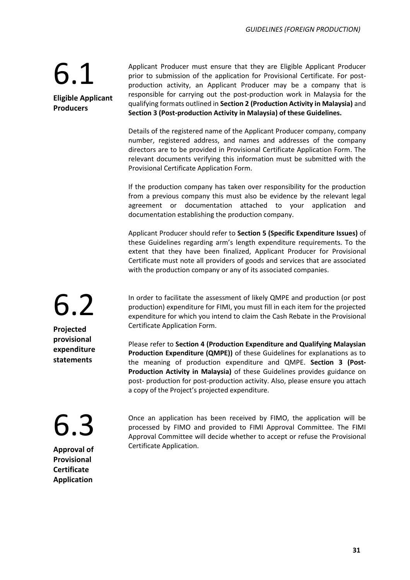### 6.1 **Eligible Applicant**

**Producers**

Applicant Producer must ensure that they are Eligible Applicant Producer prior to submission of the application for Provisional Certificate. For postproduction activity, an Applicant Producer may be a company that is responsible for carrying out the post-production work in Malaysia for the qualifying formats outlined in **Section 2 (Production Activity in Malaysia)** and **Section 3 (Post-production Activity in Malaysia) of these Guidelines.**

Details of the registered name of the Applicant Producer company, company number, registered address, and names and addresses of the company directors are to be provided in Provisional Certificate Application Form. The relevant documents verifying this information must be submitted with the Provisional Certificate Application Form.

If the production company has taken over responsibility for the production from a previous company this must also be evidence by the relevant legal agreement or documentation attached to your application and documentation establishing the production company.

Applicant Producer should refer to **Section 5 (Specific Expenditure Issues)** of these Guidelines regarding arm's length expenditure requirements. To the extent that they have been finalized, Applicant Producer for Provisional Certificate must note all providers of goods and services that are associated with the production company or any of its associated companies.

In order to facilitate the assessment of likely QMPE and production (or post production) expenditure for FIMI, you must fill in each item for the projected expenditure for which you intend to claim the Cash Rebate in the Provisional Certificate Application Form.

Please refer to **Section 4 (Production Expenditure and Qualifying Malaysian Production Expenditure (QMPE))** of these Guidelines for explanations as to the meaning of production expenditure and QMPE. **Section 3 (Post-Production Activity in Malaysia)** of these Guidelines provides guidance on post- production for post-production activity. Also, please ensure you attach a copy of the Project's projected expenditure.

Once an application has been received by FIMO, the application will be processed by FIMO and provided to FIMI Approval Committee. The FIMI Approval Committee will decide whether to accept or refuse the Provisional Certificate Application.

6.2 **Projected provisional expenditure statements**

### 6.3

**Approval of Provisional Certificate Application**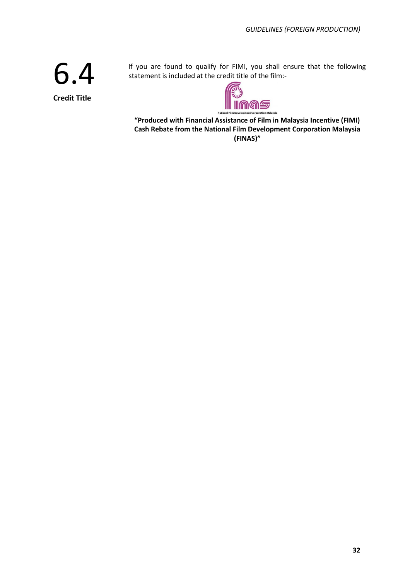6.4 **Credit Title**

If you are found to qualify for FIMI, you shall ensure that the following statement is included at the credit title of the film:-



**"Produced with Financial Assistance of Film in Malaysia Incentive (FIMI) Cash Rebate from the National Film Development Corporation Malaysia (FINAS)"**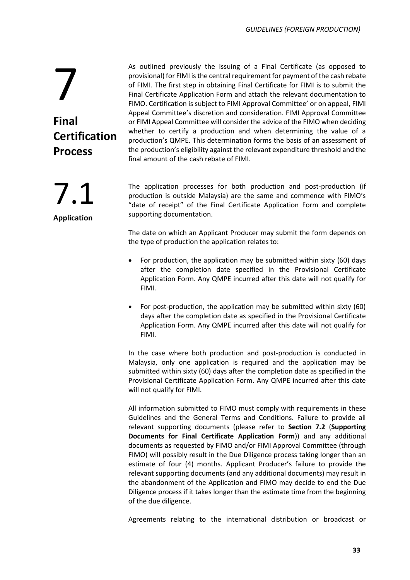As outlined previously the issuing of a Final Certificate (as opposed to provisional) for FIMI is the central requirement for payment of the cash rebate of FIMI. The first step in obtaining Final Certificate for FIMI is to submit the Final Certificate Application Form and attach the relevant documentation to FIMO. Certification is subject to FIMI Approval Committee' or on appeal, FIMI Appeal Committee's discretion and consideration. FIMI Approval Committee or FIMI Appeal Committee will consider the advice of the FIMO when deciding whether to certify a production and when determining the value of a production's QMPE. This determination forms the basis of an assessment of the production's eligibility against the relevant expenditure threshold and the final amount of the cash rebate of FIMI.

The application processes for both production and post-production (if production is outside Malaysia) are the same and commence with FIMO's "date of receipt" of the Final Certificate Application Form and complete supporting documentation.

The date on which an Applicant Producer may submit the form depends on the type of production the application relates to:

- For production, the application may be submitted within sixty (60) days after the completion date specified in the Provisional Certificate Application Form. Any QMPE incurred after this date will not qualify for FIMI.
- For post-production, the application may be submitted within sixty (60) days after the completion date as specified in the Provisional Certificate Application Form. Any QMPE incurred after this date will not qualify for FIMI.

In the case where both production and post-production is conducted in Malaysia, only one application is required and the application may be submitted within sixty (60) days after the completion date as specified in the Provisional Certificate Application Form. Any QMPE incurred after this date will not qualify for FIMI.

All information submitted to FIMO must comply with requirements in these Guidelines and the General Terms and Conditions. Failure to provide all relevant supporting documents (please refer to **Section 7.2** (**Supporting Documents for Final Certificate Application Form**)) and any additional documents as requested by FIMO and/or FIMI Approval Committee (through FIMO) will possibly result in the Due Diligence process taking longer than an estimate of four (4) months. Applicant Producer's failure to provide the relevant supporting documents (and any additional documents) may result in the abandonment of the Application and FIMO may decide to end the Due Diligence process if it takes longer than the estimate time from the beginning of the due diligence.

Agreements relating to the international distribution or broadcast or

**Process** 7.1

**Certification** 

7

**Final**

**Application**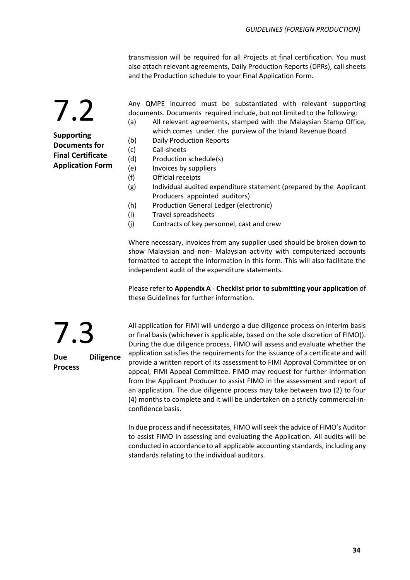transmission will be required for all Projects at final certification. You must also attach relevant agreements, Daily Production Reports (DPRs), call sheets and the Production schedule to your Final Application Form.

7.2 **Supporting** 

**Documents for Final Certificate Application Form** Any QMPE incurred must be substantiated with relevant supporting documents. Documents required include, but not limited to the following:

- (a) All relevant agreements, stamped with the Malaysian Stamp Office, which comes under the purview of the Inland Revenue Board
- (b) Daily Production Reports
- (c) Call-sheets
- (d) Production schedule(s)
- (e) Invoices by suppliers
- (f) Official receipts
- (g) Individual audited expenditure statement (prepared by the Applicant Producers appointed auditors)
- (h) Production General Ledger (electronic)
- (i) Travel spreadsheets
- (j) Contracts of key personnel, cast and crew

Where necessary, invoices from any supplier used should be broken down to show Malaysian and non- Malaysian activity with computerized accounts formatted to accept the information in this form. This will also facilitate the independent audit of the expenditure statements.

Please refer to **Appendix A** - **Checklist prior to submitting your application** of these Guidelines for further information.

All application for FIMI will undergo a due diligence process on interim basis or final basis (whichever is applicable, based on the sole discretion of FIMO)). During the due diligence process, FIMO will assess and evaluate whether the application satisfies the requirements for the issuance of a certificate and will provide a written report of its assessment to FIMI Approval Committee or on appeal, FIMI Appeal Committee. FIMO may request for further information from the Applicant Producer to assist FIMO in the assessment and report of an application. The due diligence process may take between two (2) to four (4) months to complete and it will be undertaken on a strictly commercial-inconfidence basis.

In due process and if necessitates, FIMO will seek the advice of FIMO's Auditor to assist FIMO in assessing and evaluating the Application. All audits will be conducted in accordance to all applicable accounting standards, including any standards relating to the individual auditors.

7.3 **Due Diligence Process**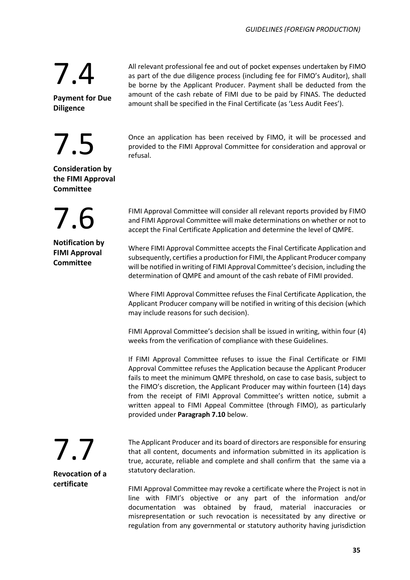All relevant professional fee and out of pocket expenses undertaken by FIMO as part of the due diligence process (including fee for FIMO's Auditor), shall be borne by the Applicant Producer. Payment shall be deducted from the amount of the cash rebate of FIMI due to be paid by FINAS. The deducted amount shall be specified in the Final Certificate (as 'Less Audit Fees').

Once an application has been received by FIMO, it will be processed and provided to the FIMI Approval Committee for consideration and approval or refusal.

FIMI Approval Committee will consider all relevant reports provided by FIMO and FIMI Approval Committee will make determinations on whether or not to accept the Final Certificate Application and determine the level of QMPE.

Where FIMI Approval Committee accepts the Final Certificate Application and subsequently, certifies a production for FIMI, the Applicant Producer company will be notified in writing of FIMI Approval Committee's decision, including the determination of QMPE and amount of the cash rebate of FIMI provided.

Where FIMI Approval Committee refuses the Final Certificate Application, the Applicant Producer company will be notified in writing of this decision (which may include reasons for such decision).

FIMI Approval Committee's decision shall be issued in writing, within four (4) weeks from the verification of compliance with these Guidelines.

If FIMI Approval Committee refuses to issue the Final Certificate or FIMI Approval Committee refuses the Application because the Applicant Producer fails to meet the minimum QMPE threshold, on case to case basis, subject to the FIMO's discretion, the Applicant Producer may within fourteen (14) days from the receipt of FIMI Approval Committee's written notice, submit a written appeal to FIMI Appeal Committee (through FIMO), as particularly provided under **Paragraph 7.10** below.

The Applicant Producer and its board of directors are responsible for ensuring that all content, documents and information submitted in its application is true, accurate, reliable and complete and shall confirm that the same via a statutory declaration.

FIMI Approval Committee may revoke a certificate where the Project is not in line with FIMI's objective or any part of the information and/or documentation was obtained by fraud, material inaccuracies or misrepresentation or such revocation is necessitated by any directive or regulation from any governmental or statutory authority having jurisdiction

**Payment for Due Diligence**

7.4

7.5

**Consideration by the FIMI Approval Committee**

7.6 **Notification by FIMI Approval** 

**Committee**

7.7

**Revocation of a certificate**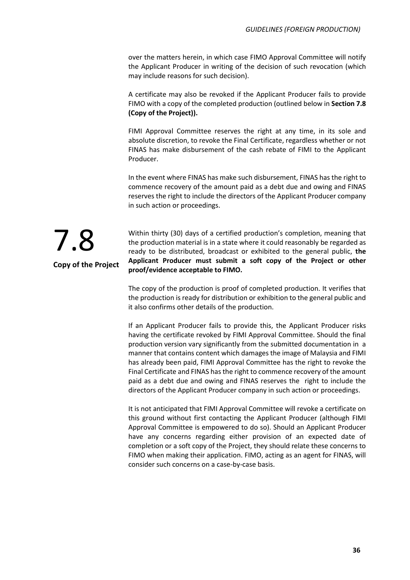over the matters herein, in which case FIMO Approval Committee will notify the Applicant Producer in writing of the decision of such revocation (which may include reasons for such decision).

A certificate may also be revoked if the Applicant Producer fails to provide FIMO with a copy of the completed production (outlined below in **Section 7.8 (Copy of the Project)).**

FIMI Approval Committee reserves the right at any time, in its sole and absolute discretion, to revoke the Final Certificate, regardless whether or not FINAS has make disbursement of the cash rebate of FIMI to the Applicant Producer.

In the event where FINAS has make such disbursement, FINAS has the right to commence recovery of the amount paid as a debt due and owing and FINAS reserves the right to include the directors of the Applicant Producer company in such action or proceedings.



Within thirty (30) days of a certified production's completion, meaning that the production material is in a state where it could reasonably be regarded as ready to be distributed, broadcast or exhibited to the general public, **the Applicant Producer must submit a soft copy of the Project or other proof/evidence acceptable to FIMO.**

The copy of the production is proof of completed production. It verifies that the production is ready for distribution or exhibition to the general public and it also confirms other details of the production.

If an Applicant Producer fails to provide this, the Applicant Producer risks having the certificate revoked by FIMI Approval Committee. Should the final production version vary significantly from the submitted documentation in a manner that contains content which damages the image of Malaysia and FIMI has already been paid, FIMI Approval Committee has the right to revoke the Final Certificate and FINAS has the right to commence recovery of the amount paid as a debt due and owing and FINAS reserves the right to include the directors of the Applicant Producer company in such action or proceedings.

It is not anticipated that FIMI Approval Committee will revoke a certificate on this ground without first contacting the Applicant Producer (although FIMI Approval Committee is empowered to do so). Should an Applicant Producer have any concerns regarding either provision of an expected date of completion or a soft copy of the Project, they should relate these concerns to FIMO when making their application. FIMO, acting as an agent for FINAS, will consider such concerns on a case-by-case basis.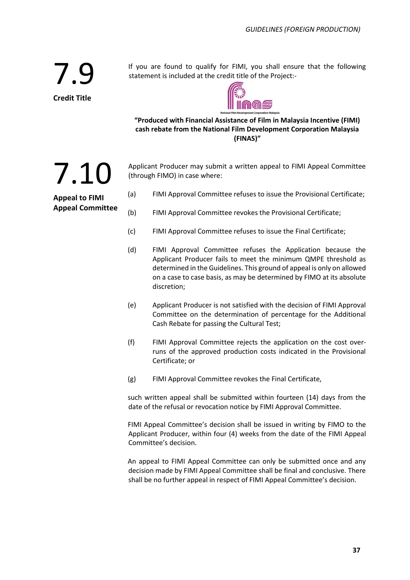If you are found to qualify for FIMI, you shall ensure that the following statement is included at the credit title of the Project:-



**"Produced with Financial Assistance of Film in Malaysia Incentive (FIMI) cash rebate from the National Film Development Corporation Malaysia (FINAS)"**

Applicant Producer may submit a written appeal to FIMI Appeal Committee (through FIMO) in case where:

(a) FIMI Approval Committee refuses to issue the Provisional Certificate;

- (b) FIMI Approval Committee revokes the Provisional Certificate;
- (c) FIMI Approval Committee refuses to issue the Final Certificate;
- (d) FIMI Approval Committee refuses the Application because the Applicant Producer fails to meet the minimum QMPE threshold as determined in the Guidelines. This ground of appeal is only on allowed on a case to case basis, as may be determined by FIMO at its absolute discretion;
- (e) Applicant Producer is not satisfied with the decision of FIMI Approval Committee on the determination of percentage for the Additional Cash Rebate for passing the Cultural Test;
- (f) FIMI Approval Committee rejects the application on the cost overruns of the approved production costs indicated in the Provisional Certificate; or
- (g) FIMI Approval Committee revokes the Final Certificate,

such written appeal shall be submitted within fourteen (14) days from the date of the refusal or revocation notice by FIMI Approval Committee.

FIMI Appeal Committee's decision shall be issued in writing by FIMO to the Applicant Producer, within four (4) weeks from the date of the FIMI Appeal Committee's decision.

An appeal to FIMI Appeal Committee can only be submitted once and any decision made by FIMI Appeal Committee shall be final and conclusive. There shall be no further appeal in respect of FIMI Appeal Committee's decision.

7.10 **Appeal to FIMI Appeal Committee**

7.9

**Credit Title**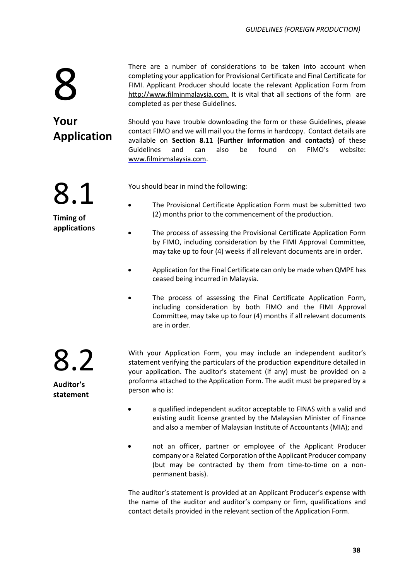There are a number of considerations to be taken into account when completing your application for Provisional Certificate and Final Certificate for FIMI. Applicant Producer should locate the relevant Application Form from [http://www.filminmalaysia.com.](http://www.filminmalaysia.com./) It is vital that all sections of the form are completed as per these Guidelines.

**Your Application**

8.1

**Timing of applications**

8

Should you have trouble downloading the form or these Guidelines, please contact FIMO and we will mail you the forms in hardcopy. Contact details are available on **Section 8.11 (Further information and contacts)** of these Guidelines and can also be found on FIMO's website: [www.filminmalaysia.com.](http://www.filminmalaysia.com/)

You should bear in mind the following:

- The Provisional Certificate Application Form must be submitted two (2) months prior to the commencement of the production.
- The process of assessing the Provisional Certificate Application Form by FIMO, including consideration by the FIMI Approval Committee, may take up to four (4) weeks if all relevant documents are in order.
- Application for the Final Certificate can only be made when QMPE has ceased being incurred in Malaysia.
- The process of assessing the Final Certificate Application Form, including consideration by both FIMO and the FIMI Approval Committee, may take up to four (4) months if all relevant documents are in order.

8.2 **Auditor's statement**

With your Application Form, you may include an independent auditor's statement verifying the particulars of the production expenditure detailed in your application. The auditor's statement (if any) must be provided on a proforma attached to the Application Form. The audit must be prepared by a person who is:

- a qualified independent auditor acceptable to FINAS with a valid and existing audit license granted by the Malaysian Minister of Finance and also a member of Malaysian Institute of Accountants (MIA); and
- not an officer, partner or employee of the Applicant Producer company or a Related Corporation of the Applicant Producer company (but may be contracted by them from time-to-time on a nonpermanent basis).

The auditor's statement is provided at an Applicant Producer's expense with the name of the auditor and auditor's company or firm, qualifications and contact details provided in the relevant section of the Application Form.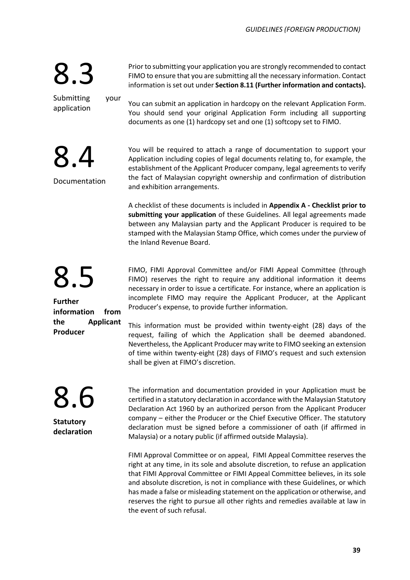Prior to submitting your application you are strongly recommended to contact FIMO to ensure that you are submitting all the necessary information. Contact information is set out under **Section 8.11 (Further information and contacts).**

Submitting your application

8.4

Documentation

8.3

You can submit an application in hardcopy on the relevant Application Form. You should send your original Application Form including all supporting documents as one (1) hardcopy set and one (1) softcopy set to FIMO.

You will be required to attach a range of documentation to support your Application including copies of legal documents relating to, for example, the establishment of the Applicant Producer company, legal agreements to verify the fact of Malaysian copyright ownership and confirmation of distribution and exhibition arrangements.

A checklist of these documents is included in **Appendix A - Checklist prior to submitting your application** of these Guidelines. All legal agreements made between any Malaysian party and the Applicant Producer is required to be stamped with the Malaysian Stamp Office, which comes under the purview of the Inland Revenue Board.

8.5

**Further information from the Applicant Producer**

FIMO, FIMI Approval Committee and/or FIMI Appeal Committee (through FIMO) reserves the right to require any additional information it deems necessary in order to issue a certificate. For instance, where an application is incomplete FIMO may require the Applicant Producer, at the Applicant Producer's expense, to provide further information.

This information must be provided within twenty-eight (28) days of the request, failing of which the Application shall be deemed abandoned. Nevertheless, the Applicant Producer may write to FIMO seeking an extension of time within twenty-eight (28) days of FIMO's request and such extension shall be given at FIMO's discretion.

The information and documentation provided in your Application must be certified in a statutory declaration in accordance with the Malaysian Statutory Declaration Act 1960 by an authorized person from the Applicant Producer company – either the Producer or the Chief Executive Officer. The statutory declaration must be signed before a commissioner of oath (if affirmed in Malaysia) or a notary public (if affirmed outside Malaysia).

FIMI Approval Committee or on appeal, FIMI Appeal Committee reserves the right at any time, in its sole and absolute discretion, to refuse an application that FIMI Approval Committee or FIMI Appeal Committee believes, in its sole and absolute discretion, is not in compliance with these Guidelines, or which has made a false or misleading statement on the application or otherwise, and reserves the right to pursue all other rights and remedies available at law in the event of such refusal.

8.6

**Statutory declaration**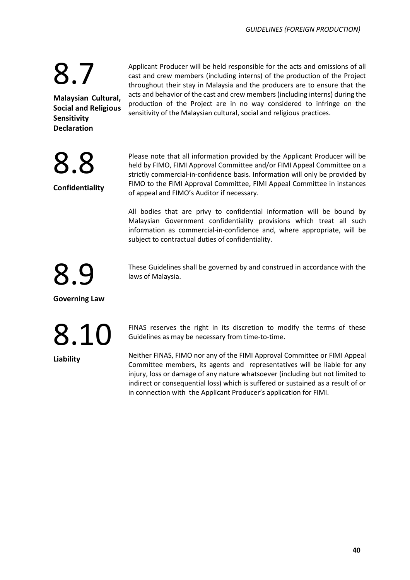8.8

**Confidentiality**

**Malaysian Cultural, Social and Religious Sensitivity Declaration**

Applicant Producer will be held responsible for the acts and omissions of all cast and crew members (including interns) of the production of the Project throughout their stay in Malaysia and the producers are to ensure that the acts and behavior of the cast and crew members (including interns) during the production of the Project are in no way considered to infringe on the sensitivity of the Malaysian cultural, social and religious practices.

Please note that all information provided by the Applicant Producer will be held by FIMO, FIMI Approval Committee and/or FIMI Appeal Committee on a strictly commercial-in-confidence basis. Information will only be provided by FIMO to the FIMI Approval Committee, FIMI Appeal Committee in instances of appeal and FIMO's Auditor if necessary.

All bodies that are privy to confidential information will be bound by Malaysian Government confidentiality provisions which treat all such information as commercial-in-confidence and, where appropriate, will be subject to contractual duties of confidentiality.

These Guidelines shall be governed by and construed in accordance with the laws of Malaysia.

8.9

**Governing Law** 

### 8.10

**Liability**

FINAS reserves the right in its discretion to modify the terms of these Guidelines as may be necessary from time-to-time.

Neither FINAS, FIMO nor any of the FIMI Approval Committee or FIMI Appeal Committee members, its agents and representatives will be liable for any injury, loss or damage of any nature whatsoever (including but not limited to indirect or consequential loss) which is suffered or sustained as a result of or in connection with the Applicant Producer's application for FIMI.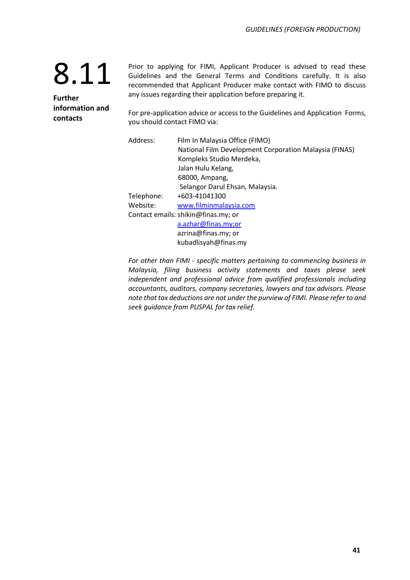**Further information and contacts** 

Prior to applying for FIMI, Applicant Producer is advised to read these Guidelines and the General Terms and Conditions carefully. It is also recommended that Applicant Producer make contact with FIMO to discuss any issues regarding their application before preparing it.

For pre-application advice or access to the Guidelines and Application Forms, you should contact FIMO via:

| Address:   | Film In Malaysia Office (FIMO)                         |
|------------|--------------------------------------------------------|
|            | National Film Development Corporation Malaysia (FINAS) |
|            | Kompleks Studio Merdeka,                               |
|            | Jalan Hulu Kelang,                                     |
|            | 68000, Ampang,                                         |
|            | Selangor Darul Ehsan, Malaysia.                        |
| Telephone: | +603-41041300                                          |
| Website:   | www.filminmalaysia.com                                 |
|            | Contact emails: shikin@finas.my; or                    |
|            | a.azhar@finas.my;or                                    |
|            | azrina@finas.my; or                                    |
|            | kubadlisyah@finas.my                                   |

*For other than FIMI - specific matters pertaining to commencing business in Malaysia, filing business activity statements and taxes please seek independent and professional advice from qualified professionals including accountants, auditors, company secretaries, lawyers and tax advisors. Please note that tax deductions are not under the purview of FIMI. Please refer to and seek guidance from PUSPAL for tax relief.*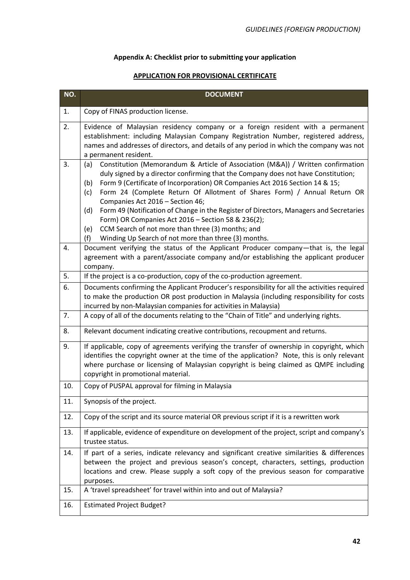### **Appendix A: Checklist prior to submitting your application**

### **APPLICATION FOR PROVISIONAL CERTIFICATE**

| NO. | <b>DOCUMENT</b>                                                                                                                                                                                                                                                                                                                                                                                                                                                                                                                                                                                                                                                             |
|-----|-----------------------------------------------------------------------------------------------------------------------------------------------------------------------------------------------------------------------------------------------------------------------------------------------------------------------------------------------------------------------------------------------------------------------------------------------------------------------------------------------------------------------------------------------------------------------------------------------------------------------------------------------------------------------------|
| 1.  | Copy of FINAS production license.                                                                                                                                                                                                                                                                                                                                                                                                                                                                                                                                                                                                                                           |
| 2.  | Evidence of Malaysian residency company or a foreign resident with a permanent<br>establishment: including Malaysian Company Registration Number, registered address,<br>names and addresses of directors, and details of any period in which the company was not<br>a permanent resident.                                                                                                                                                                                                                                                                                                                                                                                  |
| 3.  | Constitution (Memorandum & Article of Association (M&A)) / Written confirmation<br>(a)<br>duly signed by a director confirming that the Company does not have Constitution;<br>Form 9 (Certificate of Incorporation) OR Companies Act 2016 Section 14 & 15;<br>(b)<br>Form 24 (Complete Return Of Allotment of Shares Form) / Annual Return OR<br>(c)<br>Companies Act 2016 - Section 46;<br>Form 49 (Notification of Change in the Register of Directors, Managers and Secretaries<br>(d)<br>Form) OR Companies Act 2016 - Section 58 & 236(2);<br>CCM Search of not more than three (3) months; and<br>(e)<br>Winding Up Search of not more than three (3) months.<br>(f) |
| 4.  | Document verifying the status of the Applicant Producer company-that is, the legal<br>agreement with a parent/associate company and/or establishing the applicant producer<br>company.                                                                                                                                                                                                                                                                                                                                                                                                                                                                                      |
| 5.  | If the project is a co-production, copy of the co-production agreement.                                                                                                                                                                                                                                                                                                                                                                                                                                                                                                                                                                                                     |
| 6.  | Documents confirming the Applicant Producer's responsibility for all the activities required<br>to make the production OR post production in Malaysia (including responsibility for costs<br>incurred by non-Malaysian companies for activities in Malaysia)                                                                                                                                                                                                                                                                                                                                                                                                                |
| 7.  | A copy of all of the documents relating to the "Chain of Title" and underlying rights.                                                                                                                                                                                                                                                                                                                                                                                                                                                                                                                                                                                      |
| 8.  | Relevant document indicating creative contributions, recoupment and returns.                                                                                                                                                                                                                                                                                                                                                                                                                                                                                                                                                                                                |
| 9.  | If applicable, copy of agreements verifying the transfer of ownership in copyright, which<br>identifies the copyright owner at the time of the application? Note, this is only relevant<br>where purchase or licensing of Malaysian copyright is being claimed as QMPE including<br>copyright in promotional material.                                                                                                                                                                                                                                                                                                                                                      |
| 10. | Copy of PUSPAL approval for filming in Malaysia                                                                                                                                                                                                                                                                                                                                                                                                                                                                                                                                                                                                                             |
| 11. | Synopsis of the project.                                                                                                                                                                                                                                                                                                                                                                                                                                                                                                                                                                                                                                                    |
| 12. | Copy of the script and its source material OR previous script if it is a rewritten work                                                                                                                                                                                                                                                                                                                                                                                                                                                                                                                                                                                     |
| 13. | If applicable, evidence of expenditure on development of the project, script and company's<br>trustee status.                                                                                                                                                                                                                                                                                                                                                                                                                                                                                                                                                               |
| 14. | If part of a series, indicate relevancy and significant creative similarities & differences<br>between the project and previous season's concept, characters, settings, production<br>locations and crew. Please supply a soft copy of the previous season for comparative<br>purposes.                                                                                                                                                                                                                                                                                                                                                                                     |
| 15. | A 'travel spreadsheet' for travel within into and out of Malaysia?                                                                                                                                                                                                                                                                                                                                                                                                                                                                                                                                                                                                          |
| 16. | <b>Estimated Project Budget?</b>                                                                                                                                                                                                                                                                                                                                                                                                                                                                                                                                                                                                                                            |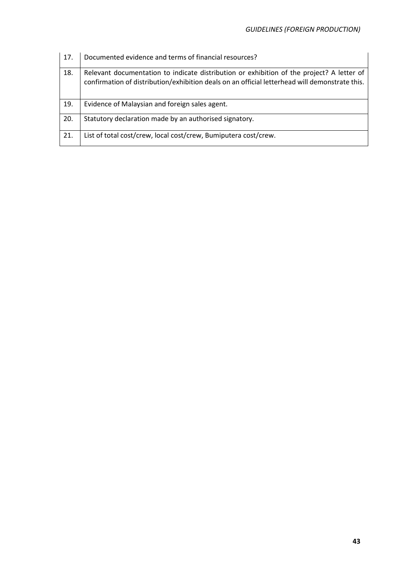| 17. | Documented evidence and terms of financial resources?                                                                                                                                       |
|-----|---------------------------------------------------------------------------------------------------------------------------------------------------------------------------------------------|
| 18. | Relevant documentation to indicate distribution or exhibition of the project? A letter of<br>confirmation of distribution/exhibition deals on an official letterhead will demonstrate this. |
| 19. | Evidence of Malaysian and foreign sales agent.                                                                                                                                              |
| 20. | Statutory declaration made by an authorised signatory.                                                                                                                                      |
| 21. | List of total cost/crew, local cost/crew, Bumiputera cost/crew.                                                                                                                             |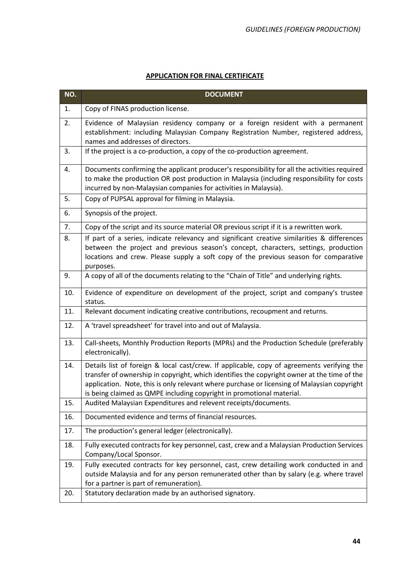### **APPLICATION FOR FINAL CERTIFICATE**

| NO. | <b>DOCUMENT</b>                                                                                                                                                                                                                                                                                                                                                   |
|-----|-------------------------------------------------------------------------------------------------------------------------------------------------------------------------------------------------------------------------------------------------------------------------------------------------------------------------------------------------------------------|
| 1.  | Copy of FINAS production license.                                                                                                                                                                                                                                                                                                                                 |
| 2.  | Evidence of Malaysian residency company or a foreign resident with a permanent<br>establishment: including Malaysian Company Registration Number, registered address,<br>names and addresses of directors.                                                                                                                                                        |
| 3.  | If the project is a co-production, a copy of the co-production agreement.                                                                                                                                                                                                                                                                                         |
| 4.  | Documents confirming the applicant producer's responsibility for all the activities required<br>to make the production OR post production in Malaysia (including responsibility for costs<br>incurred by non-Malaysian companies for activities in Malaysia).                                                                                                     |
| 5.  | Copy of PUPSAL approval for filming in Malaysia.                                                                                                                                                                                                                                                                                                                  |
| 6.  | Synopsis of the project.                                                                                                                                                                                                                                                                                                                                          |
| 7.  | Copy of the script and its source material OR previous script if it is a rewritten work.                                                                                                                                                                                                                                                                          |
| 8.  | If part of a series, indicate relevancy and significant creative similarities & differences<br>between the project and previous season's concept, characters, settings, production<br>locations and crew. Please supply a soft copy of the previous season for comparative<br>purposes.                                                                           |
| 9.  | A copy of all of the documents relating to the "Chain of Title" and underlying rights.                                                                                                                                                                                                                                                                            |
| 10. | Evidence of expenditure on development of the project, script and company's trustee<br>status.                                                                                                                                                                                                                                                                    |
| 11. | Relevant document indicating creative contributions, recoupment and returns.                                                                                                                                                                                                                                                                                      |
| 12. | A 'travel spreadsheet' for travel into and out of Malaysia.                                                                                                                                                                                                                                                                                                       |
| 13. | Call-sheets, Monthly Production Reports (MPRs) and the Production Schedule (preferably<br>electronically).                                                                                                                                                                                                                                                        |
| 14. | Details list of foreign & local cast/crew. If applicable, copy of agreements verifying the<br>transfer of ownership in copyright, which identifies the copyright owner at the time of the<br>application. Note, this is only relevant where purchase or licensing of Malaysian copyright<br>is being claimed as QMPE including copyright in promotional material. |
| 15. | Audited Malaysian Expenditures and relevent receipts/documents.                                                                                                                                                                                                                                                                                                   |
| 16. | Documented evidence and terms of financial resources.                                                                                                                                                                                                                                                                                                             |
| 17. | The production's general ledger (electronically).                                                                                                                                                                                                                                                                                                                 |
| 18. | Fully executed contracts for key personnel, cast, crew and a Malaysian Production Services<br>Company/Local Sponsor.                                                                                                                                                                                                                                              |
| 19. | Fully executed contracts for key personnel, cast, crew detailing work conducted in and<br>outside Malaysia and for any person remunerated other than by salary (e.g. where travel<br>for a partner is part of remuneration).                                                                                                                                      |
| 20. | Statutory declaration made by an authorised signatory.                                                                                                                                                                                                                                                                                                            |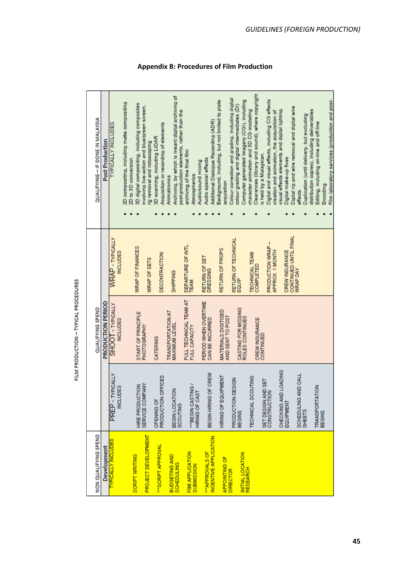| NON QUALIFYING SPEND                      |                                                   | QUALIFYING SPEND                                 |                                           | QUALIFYING - IF DONE IN MALAYSIA                                                                                                         |
|-------------------------------------------|---------------------------------------------------|--------------------------------------------------|-------------------------------------------|------------------------------------------------------------------------------------------------------------------------------------------|
| Development                               |                                                   | PRODUCTION PERIOD                                |                                           | Post Production                                                                                                                          |
| <b>TYPICALLY INCLUDES</b>                 | YPICALLY<br><b>INCLUDES</b><br><b>PREP-T</b>      | SHOOT - TYPICALLY<br><b>NCLUDES</b>              | <b>WRAP</b> - TYPICALLY<br><b>NCLUDES</b> | <b>TYPICALLY INCLUDES</b>                                                                                                                |
|                                           |                                                   |                                                  |                                           | 2D compositing, including matte compositing<br>2D to 3D conversion                                                                       |
| <b>SCRIPT WRITING</b>                     | HIRE PRODUCTION                                   | START OF PRINCIPLE                               | WRAP OF FINANCES                          | 3D digital compositing, including composites                                                                                             |
| PROJECT DEVELOPMENT                       | SERVICE COMPANY                                   | PHOTOGRAPHY                                      | <b>WRAP OF SETS</b>                       | involving live-action and blue/green screen,<br>ng removal and rotoscoping                                                               |
| "SCRIPT APPROVAL                          | <b>OFFICES</b><br>PRODUCTION<br><b>OPENING OF</b> | CATERING                                         | DECONTRACTION                             | Acquisition or recording of elements<br>3D scanning, including LIDAR                                                                     |
| <b>BUDGETING AND</b><br><b>SCHEDULING</b> | BEGIN LOCATION<br>SCOUTING                        | <b>TRANSPORTATION AT</b><br><b>MAXIMUM LEVEL</b> | <b>SHIPPING</b>                           | Archiving, by which is meant digital archiving of<br>post-production elements, rather than the<br>Animatronics                           |
| FIMI APPLICATION<br>SUBMISSION            | "BEGIN CASTING /<br>HIRING OF CAST                | FULL TECHNICAL TEAM AT<br>FULL CAPACITY          | DEPARTURE OF INTL.<br>TEAM                | archiving of the final film<br>Atmospherics                                                                                              |
| NCENTIVE APPLICATION<br>"APPROVALS OF     | BEGIN HIRING OF CREW                              | PERIOD WHEN OVERTIME<br>CAN BE INCURRED          | RETURN OF SET<br><b>DRESSING</b>          | Additional Dialogue Recording (ADR)<br>Audio special effects<br>Audio/sound mixing                                                       |
| <b>APPOINTING OF</b>                      | HIRING OF EQUIPMENT                               | MATERIALS DIGITISED<br>AND SENT TO POST          | RETURN OF PROPS                           | Background, including, but not limited to plate<br>acquisition                                                                           |
| <b>DIRECTOR</b>                           | <b>DESIGN</b><br>PRODUCTION<br>BEGINS             | CASTING FOR MISSING<br>ROLES CONTINUES           | RETURN OF TECHNICAL<br>EQUIP              | Colour correction and grading, including digital<br>colour grading and digital intermediates (DI)                                        |
| INITIAL LOCATION<br>RESEARCH              | <b>TECHNICAL SCOUTING</b>                         | CREW INSURANCE                                   | TECHNICAL TEAM<br><b>COMPLETED</b>        | Clearances (library and sound), where copyright<br>Computer generated imagery (CGI), including<br>character animation and 3D CG modeling |
|                                           | SET DESIGN AND SET<br>CONSTRUCTION                | CONTINUED                                        | PRODUCTION WRAP-<br>APPROX. 1 MONTH       | Digital and visual effects, including CG effects<br>creation and animation, the acquisition of<br>is held by a Malaysian.                |
|                                           | CHECKING AND LOADING<br>EQUIPMENT                 |                                                  | CREW INSURANCE                            | visual effects elements and digital lighting<br>Digital make-up fixes                                                                    |
|                                           | AND CALL<br>SCHEDULING<br>SHEETS                  |                                                  | CONTINUED UNTIL FINAL<br>WRAP DAY         | Digital rig and wire removal and digital wire<br>Duplication (until delivery, but excluding<br>effects                                   |
|                                           | <b>TRANSPORTATION</b><br>BEGINS                   |                                                  |                                           | distribution copies), including deliverables<br>Editing, including on-line and off-line                                                  |
|                                           |                                                   |                                                  |                                           | Film laboratory services (production and post-<br>Encoding                                                                               |

# FILM PRODUCTION - TYPICAL PROCEDURES

**Appendix B: Procedures of Film Production**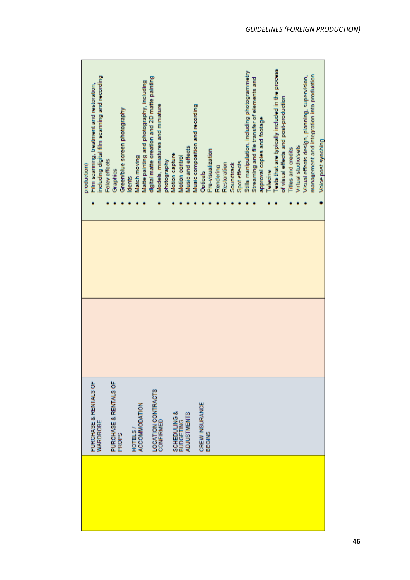| including digital film scanning and recording<br>Film scanning, treatment and restoration,<br>production) | Foley effects<br>Graphics             | Green/blue screen photography<br>dents | Matte painting and photography, including<br>Match moving | digital matte creation and 2D matte painting | Models, miniatures and miniature<br>photography | Motion capture          | Music and effects<br>Motion control    | Music composition and recording | <b>Opticals</b> | Pre-visualization | Rendering | Restoration | Soundtrack | Spot effects | Stills manipulation, including photogrammetry | Streaming and file transfer of elements and | approval copies and footage | Telecine | Tests that are typically included in the process | of visual effects and post-production | <b>Titles and credits</b> | Virtual studio/sets | Visual effects design, planning, supervision, | management and integration into production | Voice post synching |
|-----------------------------------------------------------------------------------------------------------|---------------------------------------|----------------------------------------|-----------------------------------------------------------|----------------------------------------------|-------------------------------------------------|-------------------------|----------------------------------------|---------------------------------|-----------------|-------------------|-----------|-------------|------------|--------------|-----------------------------------------------|---------------------------------------------|-----------------------------|----------|--------------------------------------------------|---------------------------------------|---------------------------|---------------------|-----------------------------------------------|--------------------------------------------|---------------------|
|                                                                                                           |                                       |                                        |                                                           |                                              |                                                 |                         |                                        |                                 |                 |                   |           |             |            |              |                                               |                                             |                             |          |                                                  |                                       |                           |                     |                                               |                                            |                     |
|                                                                                                           |                                       |                                        |                                                           |                                              |                                                 |                         |                                        |                                 |                 |                   |           |             |            |              |                                               |                                             |                             |          |                                                  |                                       |                           |                     |                                               |                                            |                     |
| PURCHASE & RENTALS OF<br>WARDROBE                                                                         | PURCHASE & RENTALS OF<br><b>PROPS</b> |                                        | ACCOMMODATION<br>HOTELS                                   | LOCATION CONTRACTS                           | <b>CONFIRMED</b>                                | <b>SCHEDULING &amp;</b> | <b>ADJUSTMENTS</b><br><b>BUDGETING</b> |                                 | CREW INSURANCE  | BEGINS            |           |             |            |              |                                               |                                             |                             |          |                                                  |                                       |                           |                     |                                               |                                            |                     |
|                                                                                                           |                                       |                                        |                                                           |                                              |                                                 |                         |                                        |                                 |                 |                   |           |             |            |              |                                               |                                             |                             |          |                                                  |                                       |                           |                     |                                               |                                            |                     |